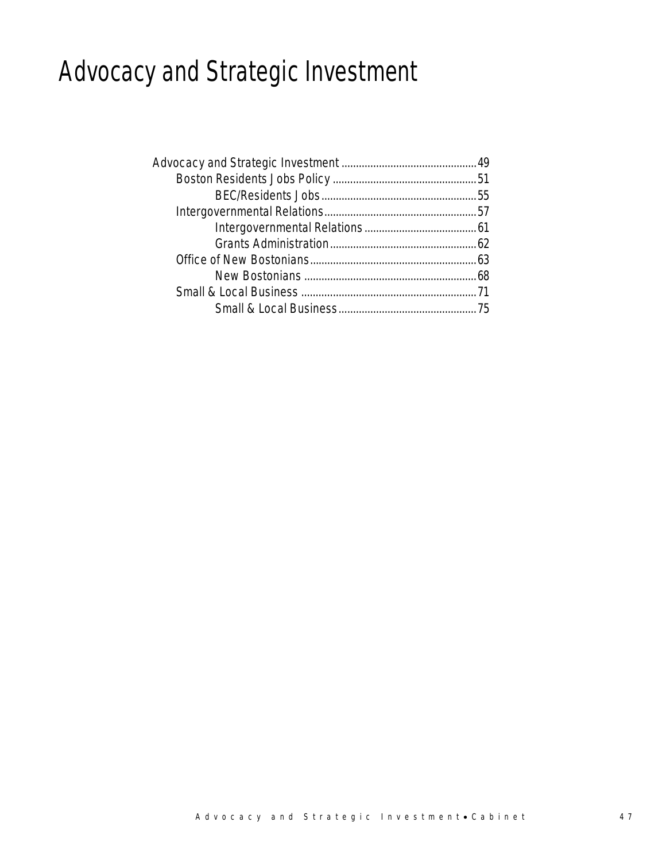## Advocacy and Strategic Investment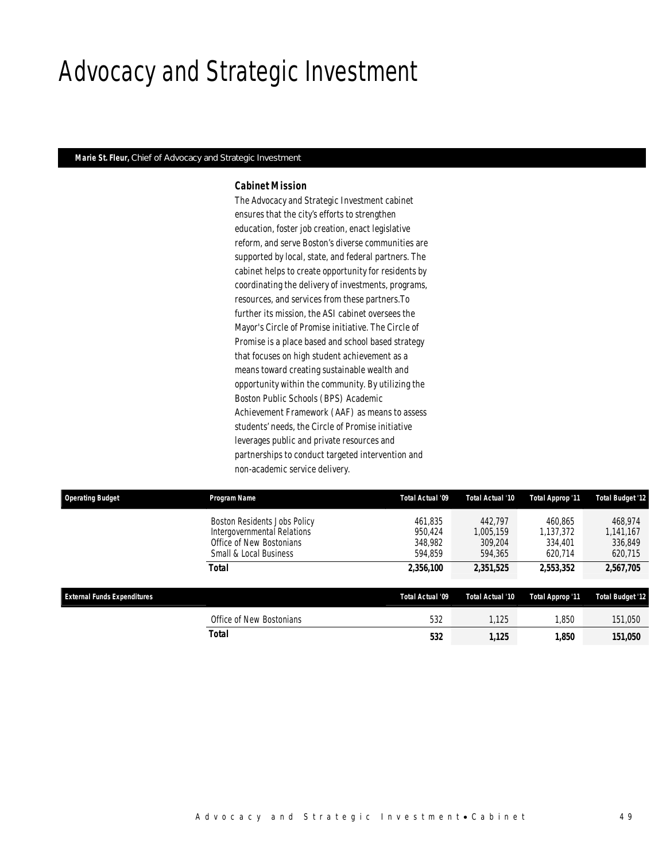### Advocacy and Strategic Investment

### *Marie St. Fleur, Chief of Advocacy and Strategic Investment*

### *Cabinet Mission*

The Advocacy and Strategic Investment cabinet ensures that the city's efforts to strengthen education, foster job creation, enact legislative reform, and serve Boston's diverse communities are supported by local, state, and federal partners. The cabinet helps to create opportunity for residents by coordinating the delivery of investments, programs, resources, and services from these partners.To further its mission, the ASI cabinet oversees the Mayor's Circle of Promise initiative. The Circle of Promise is a place based and school based strategy that focuses on high student achievement as a means toward creating sustainable wealth and opportunity within the community. By utilizing the Boston Public Schools (BPS) Academic Achievement Framework (AAF) as means to assess students' needs, the Circle of Promise initiative leverages public and private resources and partnerships to conduct targeted intervention and non-academic service delivery.

| <b>Operating Budget</b>            | <b>Program Name</b>                                                                                               | Total Actual '09                         | Total Actual '10                           | Total Approp '11                           | <b>Total Budget '12</b>                    |
|------------------------------------|-------------------------------------------------------------------------------------------------------------------|------------------------------------------|--------------------------------------------|--------------------------------------------|--------------------------------------------|
|                                    | Boston Residents Jobs Policy<br>Intergovernmental Relations<br>Office of New Bostonians<br>Small & Local Business | 461.835<br>950.424<br>348,982<br>594.859 | 442.797<br>1.005.159<br>309.204<br>594.365 | 460.865<br>1.137.372<br>334,401<br>620.714 | 468.974<br>1,141,167<br>336,849<br>620,715 |
|                                    | Total                                                                                                             | 2,356,100                                | 2,351,525                                  | 2,553,352                                  | 2,567,705                                  |
| <b>External Funds Expenditures</b> |                                                                                                                   | Total Actual '09                         | Total Actual '10                           | Total Approp '11                           | <b>Total Budget '12</b>                    |
|                                    | Office of New Bostonians                                                                                          | 532                                      | 1.125                                      | 1.850                                      | 151,050                                    |
|                                    | Total                                                                                                             | 532                                      | 1.125                                      | 1.850                                      | 151,050                                    |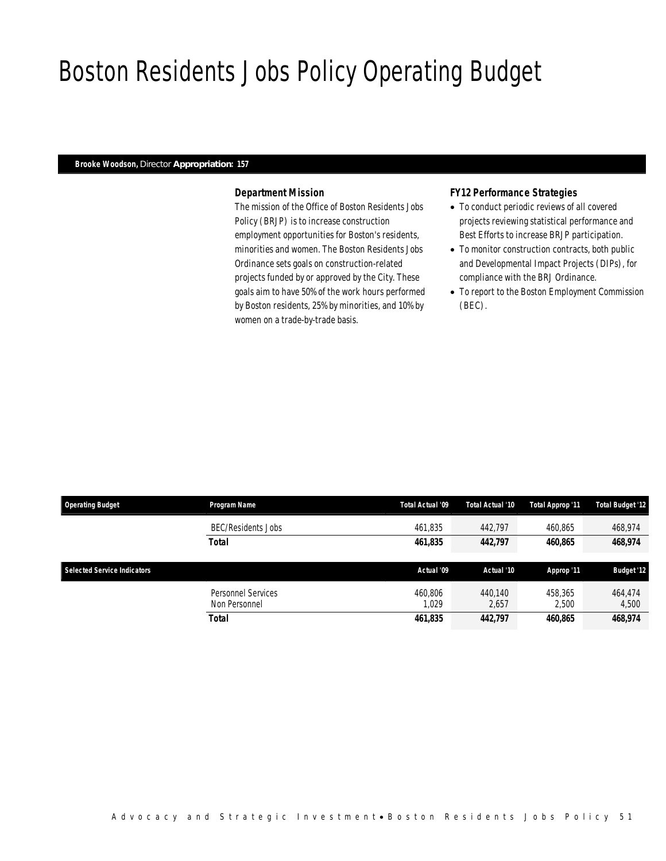## Boston Residents Jobs Policy Operating Budget

### *Brooke Woodson, Director Appropriation: 157*

### *Department Mission*

The mission of the Office of Boston Residents Jobs Policy (BRJP) is to increase construction employment opportunities for Boston's residents, minorities and women. The Boston Residents Jobs Ordinance sets goals on construction-related projects funded by or approved by the City. These goals aim to have 50% of the work hours performed by Boston residents, 25% by minorities, and 10% by women on a trade-by-trade basis.

### *FY12 Performance Strategies*

- To conduct periodic reviews of all covered projects reviewing statistical performance and Best Efforts to increase BRJP participation.
- To monitor construction contracts, both public and Developmental Impact Projects (DIPs), for compliance with the BRJ Ordinance.
- To report to the Boston Employment Commission (BEC).

| <b>Operating Budget</b>     | Program Name              | Total Actual '09 | Total Actual '10 | Total Approp '11 | <b>Total Budget '12</b> |
|-----------------------------|---------------------------|------------------|------------------|------------------|-------------------------|
|                             | <b>BEC/Residents Jobs</b> | 461.835          | 442.797          | 460.865          | 468,974                 |
|                             | <b>Total</b>              | 461,835          | 442,797          | 460,865          | 468,974                 |
|                             |                           |                  |                  |                  |                         |
|                             |                           |                  |                  |                  |                         |
| Selected Service Indicators |                           | Actual '09       | Actual '10       | Approp '11       | <b>Budget '12</b>       |
|                             | Personnel Services        | 460.806          | 440.140          | 458.365          | 464,474                 |
|                             | Non Personnel             | .029             | 2,657            | 2,500            | 4,500                   |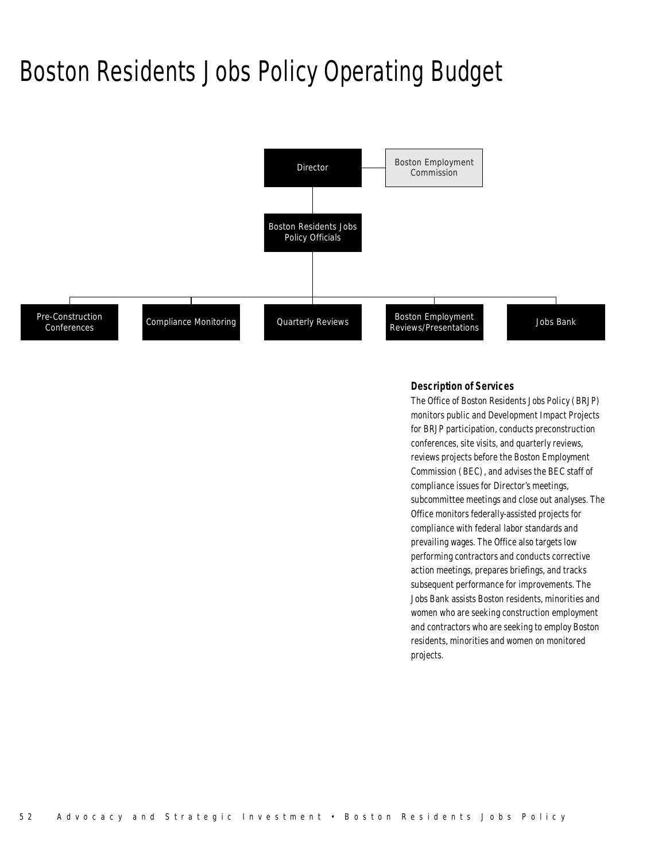### Boston Residents Jobs Policy Operating Budget



#### *Description of Services*

The Office of Boston Residents Jobs Policy (BRJP) monitors public and Development Impact Projects for BRJP participation, conducts preconstruction conferences, site visits, and quarterly reviews, reviews projects before the Boston Employment Commission (BEC), and advises the BEC staff of compliance issues for Director's meetings, subcommittee meetings and close out analyses. The Office monitors federally-assisted projects for compliance with federal labor standards and prevailing wages. The Office also targets low performing contractors and conducts corrective action meetings, prepares briefings, and tracks subsequent performance for improvements. The Jobs Bank assists Boston residents, minorities and women who are seeking construction employment and contractors who are seeking to employ Boston residents, minorities and women on monitored projects.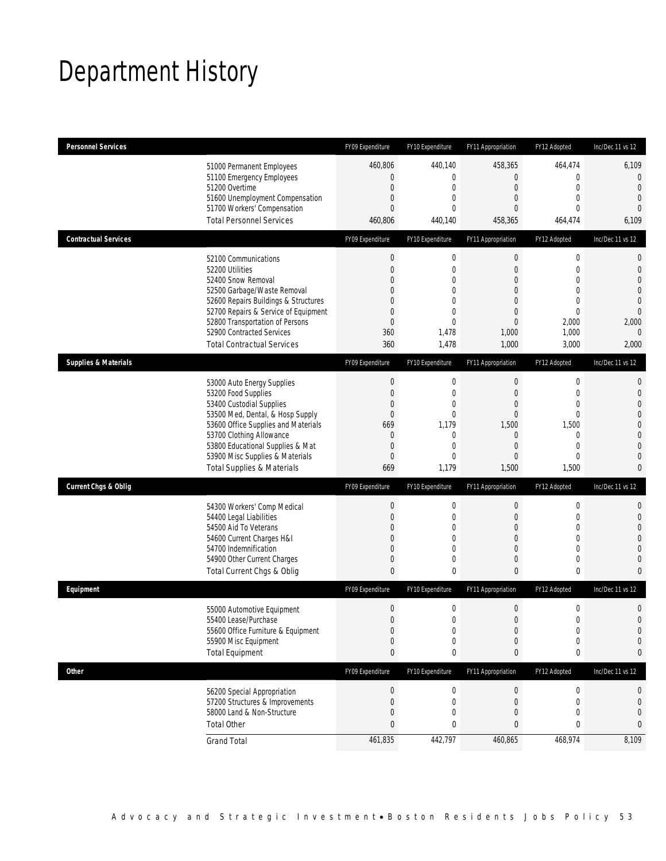## Department History

| <b>Personnel Services</b>       |                                                                          | FY09 Expenditure                 | FY10 Expenditure            | FY11 Appropriation                   | FY12 Adopted                | Inc/Dec 11 vs 12               |
|---------------------------------|--------------------------------------------------------------------------|----------------------------------|-----------------------------|--------------------------------------|-----------------------------|--------------------------------|
|                                 | 51000 Permanent Employees                                                | 460,806                          | 440,140                     | 458,365                              | 464,474                     | 6,109                          |
|                                 | 51100 Emergency Employees                                                | 0                                | $\mathbf 0$                 | $\mathbf 0$                          | $\mathbf{0}$                | $\mathbf 0$                    |
|                                 | 51200 Overtime                                                           | $\mathbf 0$                      | $\mathbf 0$                 | $\mathbf 0$                          | $\mathbf 0$                 | $\overline{0}$                 |
|                                 | 51600 Unemployment Compensation<br>51700 Workers' Compensation           | $\overline{0}$<br>$\overline{0}$ | $\mathbf 0$<br>$\Omega$     | $\mathbf{0}$<br>0                    | $\mathbf{0}$<br>$\mathbf 0$ | $\overline{0}$<br>$\theta$     |
|                                 | <b>Total Personnel Services</b>                                          | 460,806                          | 440,140                     | 458,365                              | 464,474                     | 6,109                          |
| <b>Contractual Services</b>     |                                                                          | FY09 Expenditure                 | FY10 Expenditure            | FY11 Appropriation                   | FY12 Adopted                | Inc/Dec 11 vs 12               |
|                                 | 52100 Communications                                                     | $\boldsymbol{0}$                 | $\boldsymbol{0}$            | $\boldsymbol{0}$                     | $\mathbf 0$                 | $\mathbf 0$                    |
|                                 | 52200 Utilities                                                          | $\overline{0}$                   | $\mathbf 0$                 | $\boldsymbol{0}$                     | $\mathbf 0$                 | $\mathbf 0$                    |
|                                 | 52400 Snow Removal                                                       | $\Omega$                         | $\mathbf{0}$                | $\overline{0}$                       | $\mathbf 0$                 | $\overline{0}$                 |
|                                 | 52500 Garbage/Waste Removal                                              | $\Omega$                         | 0                           | 0                                    | $\mathbf{0}$                | $\overline{0}$                 |
|                                 | 52600 Repairs Buildings & Structures                                     | 0                                | $\mathbf{0}$                | $\mathbf{0}$                         | $\mathbf 0$                 | $\mathbf 0$                    |
|                                 | 52700 Repairs & Service of Equipment                                     | 0<br>0                           | $\mathbf 0$<br>$\mathbf{0}$ | $\boldsymbol{0}$<br>$\boldsymbol{0}$ | $\mathbf{0}$<br>2,000       | $\overline{0}$                 |
|                                 | 52800 Transportation of Persons<br>52900 Contracted Services             | 360                              | 1,478                       | 1,000                                | 1,000                       | 2,000<br>$\overline{0}$        |
|                                 | <b>Total Contractual Services</b>                                        | 360                              | 1,478                       | 1,000                                | 3,000                       | 2,000                          |
| <b>Supplies &amp; Materials</b> |                                                                          | FY09 Expenditure                 | FY10 Expenditure            | FY11 Appropriation                   | FY12 Adopted                | Inc/Dec 11 vs 12               |
|                                 | 53000 Auto Energy Supplies                                               | $\boldsymbol{0}$                 | $\boldsymbol{0}$            | $\boldsymbol{0}$                     | $\mathbf 0$                 | $\mathbf{0}$                   |
|                                 | 53200 Food Supplies                                                      | $\mathbf 0$                      | $\mathbf 0$                 | $\boldsymbol{0}$                     | $\mathbf{0}$                | $\mathbf{0}$                   |
|                                 | 53400 Custodial Supplies                                                 | $\mathbf{0}$                     | $\mathbf 0$                 | $\mathbf 0$                          | $\mathbf{0}$                | $\overline{0}$                 |
|                                 | 53500 Med, Dental, & Hosp Supply                                         | $\mathbf 0$                      | $\mathbf{0}$                | $\mathbf 0$                          | $\mathbf{0}$                | $\overline{0}$                 |
|                                 | 53600 Office Supplies and Materials                                      | 669                              | 1,179                       | 1,500                                | 1,500                       | $\mathbf 0$                    |
|                                 | 53700 Clothing Allowance                                                 | 0                                | $\mathbf 0$                 | 0                                    | $\mathbf 0$                 | $\overline{0}$                 |
|                                 | 53800 Educational Supplies & Mat                                         | $\mathbf 0$                      | $\mathbf 0$                 | $\mathbf{0}$                         | $\mathbf{0}$                | $\overline{0}$                 |
|                                 | 53900 Misc Supplies & Materials<br><b>Total Supplies &amp; Materials</b> | $\overline{0}$<br>669            | $\mathbf{0}$<br>1,179       | $\mathbf{0}$<br>1,500                | $\mathbf 0$<br>1,500        | $\overline{0}$<br>$\mathbf{0}$ |
| <b>Current Chgs &amp; Oblig</b> |                                                                          | FY09 Expenditure                 | FY10 Expenditure            | FY11 Appropriation                   | FY12 Adopted                | Inc/Dec 11 vs 12               |
|                                 |                                                                          |                                  |                             |                                      |                             |                                |
|                                 | 54300 Workers' Comp Medical                                              | $\boldsymbol{0}$                 | $\boldsymbol{0}$            | $\boldsymbol{0}$                     | $\mathbf 0$                 | $\mathbf{0}$                   |
|                                 | 54400 Legal Liabilities<br>54500 Aid To Veterans                         | 0<br>$\Omega$                    | $\mathbf 0$<br>0            | $\boldsymbol{0}$<br>0                | $\mathbf 0$<br>$\mathbf{0}$ | $\mathbf{0}$<br>$\overline{0}$ |
|                                 | 54600 Current Charges H&I                                                | $\mathbf{0}$                     | 0                           | $\mathbf 0$                          | $\mathbf{0}$                | $\overline{0}$                 |
|                                 | 54700 Indemnification                                                    | 0                                | $\mathbf{0}$                | $\mathbf{0}$                         | $\mathbf{0}$                | $\mathbf 0$                    |
|                                 | 54900 Other Current Charges                                              | 0                                | $\mathbf 0$                 | $\mathbf 0$                          | $\mathbf 0$                 | $\mathbf{0}$                   |
|                                 | Total Current Chgs & Oblig                                               | $\mathbf{0}$                     | $\mathbf 0$                 | $\mathbf{0}$                         | $\mathbf 0$                 | $\overline{0}$                 |
| Equipment                       |                                                                          | FY09 Expenditure                 | FY10 Expenditure            | FY11 Appropriation                   | FY12 Adopted                | Inc/Dec 11 vs 12               |
|                                 | 55000 Automotive Equipment                                               | $\mathbf 0$                      | $\mathbf 0$                 | $\mathbf 0$                          | $\mathbf 0$                 | $\mathbf 0$                    |
|                                 | 55400 Lease/Purchase                                                     | $\overline{0}$                   | $\Omega$                    | $\overline{0}$                       | $\mathbf{0}$                | $\overline{0}$                 |
|                                 | 55600 Office Furniture & Equipment                                       | 0                                | $\boldsymbol{0}$            | 0                                    | $\boldsymbol{0}$            | $\mathbf 0$                    |
|                                 | 55900 Misc Equipment                                                     | $\mathbf 0$                      | $\mathbf 0$                 | $\mathbf 0$                          | $\mathbf 0$                 | $\mathbf 0$                    |
|                                 | <b>Total Equipment</b>                                                   | 0                                | 0                           | 0                                    | 0                           | 0                              |
| <b>Other</b>                    |                                                                          | FY09 Expenditure                 | FY10 Expenditure            | FY11 Appropriation                   | FY12 Adopted                | Inc/Dec 11 vs 12               |
|                                 | 56200 Special Appropriation                                              | $\boldsymbol{0}$                 | 0                           | $\pmb{0}$                            | $\boldsymbol{0}$            | 0                              |
|                                 | 57200 Structures & Improvements                                          | 0                                | 0                           | $\pmb{0}$                            | $\mathbf 0$                 | $\mathbf 0$                    |
|                                 | 58000 Land & Non-Structure                                               | 0                                | $\mathbf 0$                 | $\mathbf 0$                          | $\mathbf{0}$                | $\mathbf 0$                    |
|                                 | <b>Total Other</b>                                                       | $\mathbf{0}$                     | 0                           | 0                                    | 0                           | 0                              |
|                                 | <b>Grand Total</b>                                                       | 461,835                          | 442,797                     | 460,865                              | 468,974                     | 8,109                          |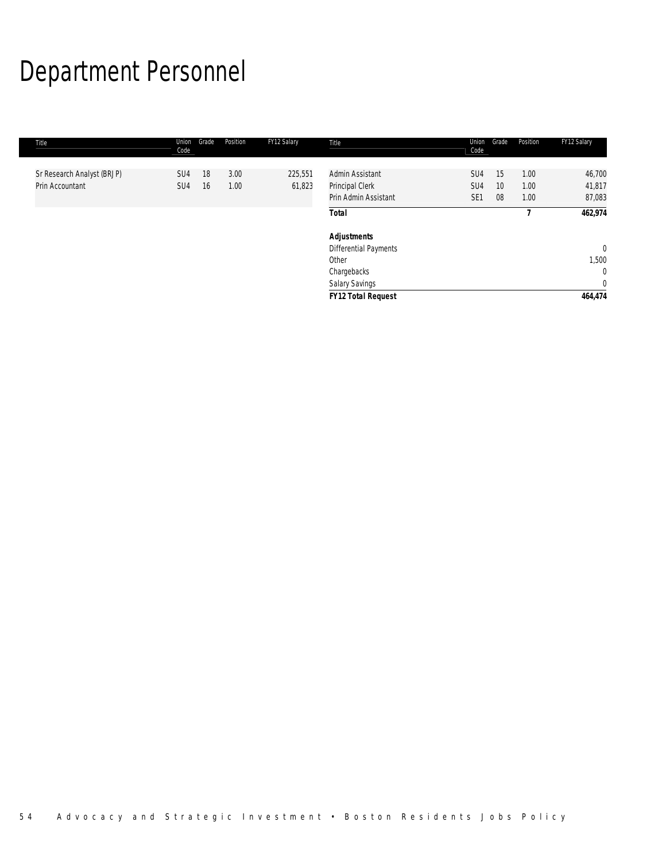# Department Personnel

| Title                                         | Union<br>Code          | Grade    | Position     | FY12 Salary | Title                              | Union<br>Code          | Grade | Position     | FY12 Salary      |
|-----------------------------------------------|------------------------|----------|--------------|-------------|------------------------------------|------------------------|-------|--------------|------------------|
|                                               |                        |          |              | 225,551     |                                    |                        | 15    |              |                  |
| Sr Research Analyst (BRJP)<br>Prin Accountant | SU4<br>SU <sub>4</sub> | 18<br>16 | 3.00<br>1.00 | 61,823      | Admin Assistant<br>Principal Clerk | SU4<br>SU <sub>4</sub> | 10    | 1.00<br>1.00 | 46,700<br>41,817 |
|                                               |                        |          |              |             | Prin Admin Assistant               | SE <sub>1</sub>        | 08    | 1.00         | 87,083           |
|                                               |                        |          |              |             | <b>Total</b>                       |                        |       |              | 462,974          |
|                                               |                        |          |              |             | <b>Adjustments</b>                 |                        |       |              |                  |
|                                               |                        |          |              |             | <b>Differential Payments</b>       |                        |       |              | $\overline{0}$   |
|                                               |                        |          |              |             | Other                              |                        |       |              | 1,500            |
|                                               |                        |          |              |             | Chargebacks                        |                        |       |              | $\mathbf 0$      |
|                                               |                        |          |              |             | Salary Savings                     |                        |       |              | $\mathbf 0$      |
|                                               |                        |          |              |             | <b>FY12 Total Request</b>          |                        |       |              | 464,474          |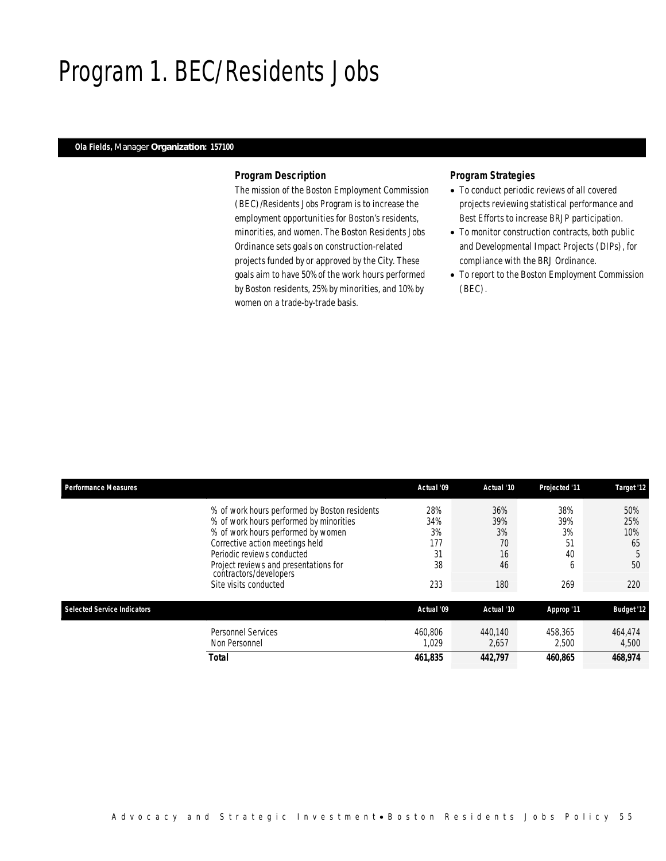### Program 1. BEC/Residents Jobs

### *Ola Fields, Manager Organization: 157100*

### *Program Description*

The mission of the Boston Employment Commission (BEC)/Residents Jobs Program is to increase the employment opportunities for Boston's residents, minorities, and women. The Boston Residents Jobs Ordinance sets goals on construction-related projects funded by or approved by the City. These goals aim to have 50% of the work hours performed by Boston residents, 25% by minorities, and 10% by women on a trade-by-trade basis.

### *Program Strategies*

- To conduct periodic reviews of all covered projects reviewing statistical performance and Best Efforts to increase BRJP participation.
- To monitor construction contracts, both public and Developmental Impact Projects (DIPs), for compliance with the BRJ Ordinance.
- To report to the Boston Employment Commission (BEC).

| <b>Performance Measures</b> |                                                                 | Actual '09 | Actual '10 | Projected '11 | Target '12        |
|-----------------------------|-----------------------------------------------------------------|------------|------------|---------------|-------------------|
|                             | % of work hours performed by Boston residents                   | 28%        | 36%        | 38%           | 50%               |
|                             | % of work hours performed by minorities                         | 34%        | 39%        | 39%           | 25%               |
|                             | % of work hours performed by women                              | 3%         | 3%         | 3%            | 10%               |
|                             | Corrective action meetings held                                 | 177        | 70         | 51            | 65                |
|                             | Periodic reviews conducted                                      | 31         | 16         | 40            | 5                 |
|                             | Project reviews and presentations for<br>contractors/developers | 38         | 46         | <sub>6</sub>  | 50                |
|                             | Site visits conducted                                           | 233        | 180        | 269           | 220               |
| Selected Service Indicators |                                                                 | Actual '09 | Actual '10 | Approp '11    | <b>Budget '12</b> |
|                             | <b>Personnel Services</b>                                       | 460.806    | 440.140    | 458,365       | 464,474           |
|                             | Non Personnel                                                   | 1.029      | 2,657      | 2.500         | 4,500             |
|                             | Total                                                           | 461,835    | 442.797    | 460.865       | 468.974           |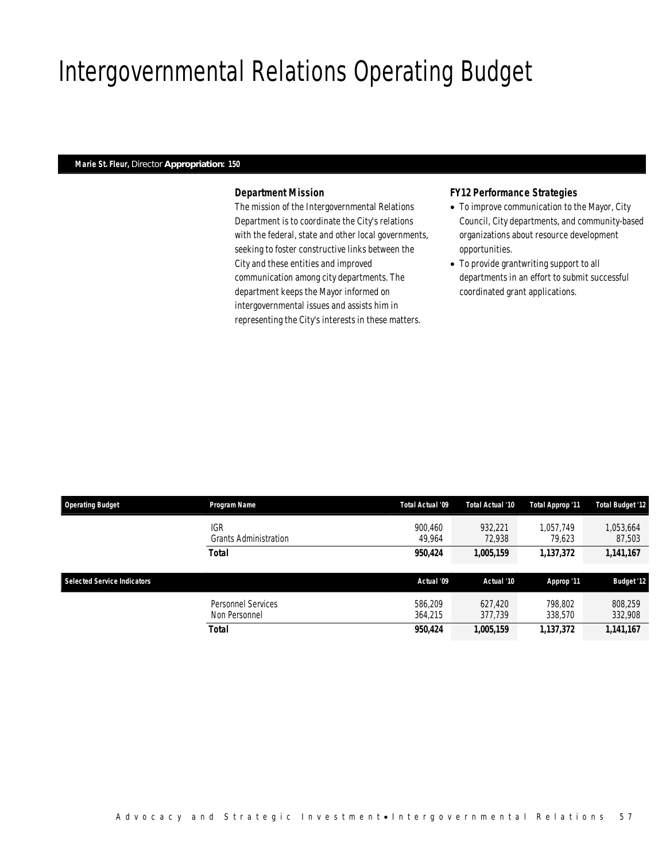## Intergovernmental Relations Operating Budget

#### *Marie St. Fleur, Director Appropriation: 150*

### *Department Mission*

The mission of the Intergovernmental Relations Department is to coordinate the City's relations with the federal, state and other local governments, seeking to foster constructive links between the City and these entities and improved communication among city departments. The department keeps the Mayor informed on intergovernmental issues and assists him in representing the City's interests in these matters.

### *FY12 Performance Strategies*

- To improve communication to the Mayor, City Council, City departments, and community-based organizations about resource development opportunities.
- To provide grantwriting support to all departments in an effort to submit successful coordinated grant applications.

| <b>Operating Budget</b>            | Program Name                               | Total Actual '09   | Total Actual '10   | Total Approp '11    | <b>Total Budget '12</b> |
|------------------------------------|--------------------------------------------|--------------------|--------------------|---------------------|-------------------------|
|                                    | <b>IGR</b><br><b>Grants Administration</b> | 900.460<br>49,964  | 932.221<br>72.938  | 1.057.749<br>79.623 | 1,053,664<br>87,503     |
|                                    | <b>Total</b>                               | 950.424            | 1,005,159          | 1,137,372           | 1,141,167               |
|                                    |                                            |                    |                    |                     |                         |
|                                    |                                            |                    |                    |                     |                         |
| <b>Selected Service Indicators</b> |                                            | Actual '09         | Actual '10         | Approp '11          | <b>Budget '12</b>       |
|                                    | Personnel Services<br>Non Personnel        | 586.209<br>364.215 | 627.420<br>377.739 | 798.802<br>338,570  | 808.259<br>332,908      |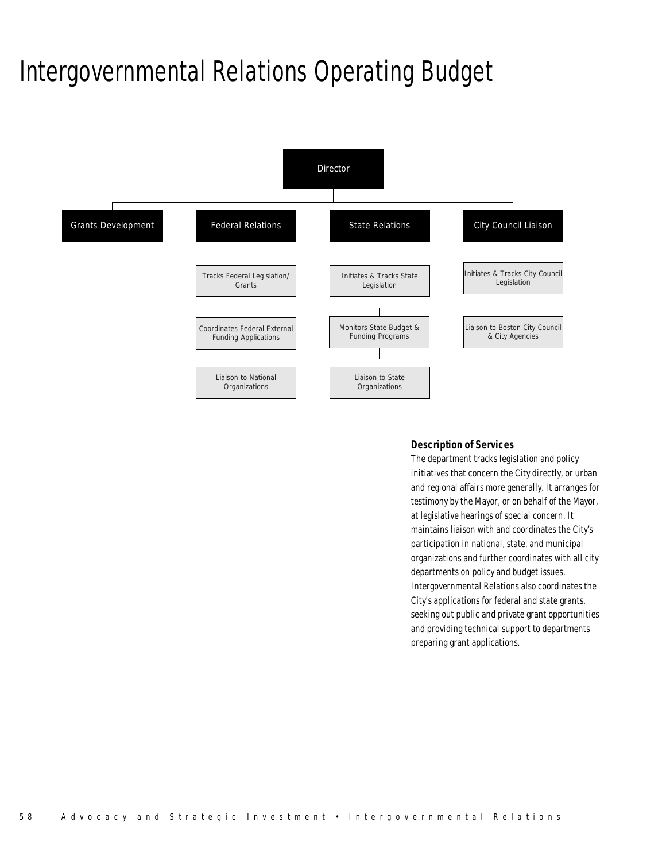## Intergovernmental Relations Operating Budget



### *Description of Services*

The department tracks legislation and policy initiatives that concern the City directly, or urban and regional affairs more generally. It arranges for testimony by the Mayor, or on behalf of the Mayor, at legislative hearings of special concern. It maintains liaison with and coordinates the City's participation in national, state, and municipal organizations and further coordinates with all city departments on policy and budget issues. Intergovernmental Relations also coordinates the City's applications for federal and state grants, seeking out public and private grant opportunities and providing technical support to departments preparing grant applications.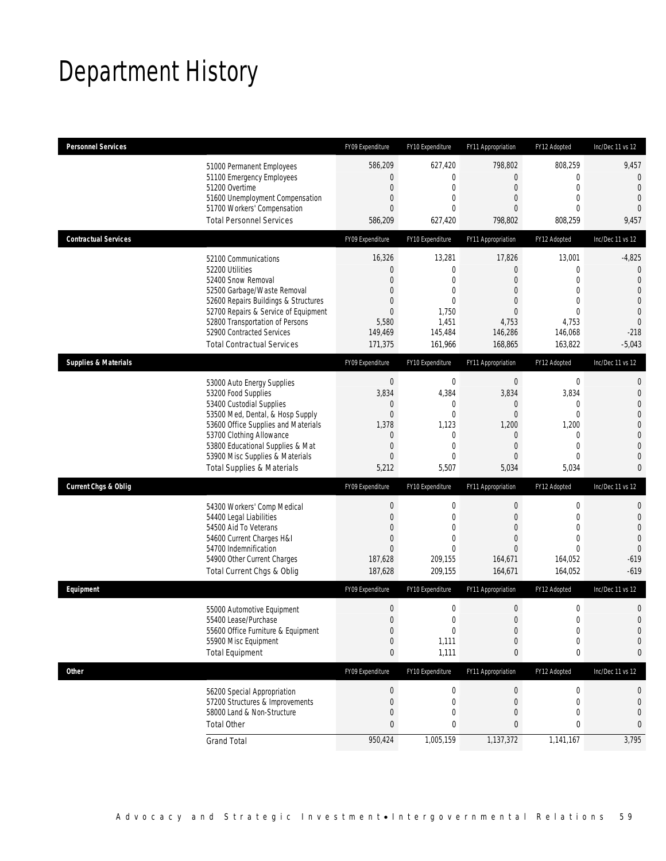## Department History

| <b>Personnel Services</b>       |                                                                                                                                                                                                                                                                                                      | FY09 Expenditure                                                                                            | FY10 Expenditure                                                                                                      | FY11 Appropriation                                                                                                           | FY12 Adopted                                                                                                         | Inc/Dec 11 vs 12                                                                                                                                    |
|---------------------------------|------------------------------------------------------------------------------------------------------------------------------------------------------------------------------------------------------------------------------------------------------------------------------------------------------|-------------------------------------------------------------------------------------------------------------|-----------------------------------------------------------------------------------------------------------------------|------------------------------------------------------------------------------------------------------------------------------|----------------------------------------------------------------------------------------------------------------------|-----------------------------------------------------------------------------------------------------------------------------------------------------|
|                                 | 51000 Permanent Employees<br>51100 Emergency Employees<br>51200 Overtime<br>51600 Unemployment Compensation<br>51700 Workers' Compensation<br><b>Total Personnel Services</b>                                                                                                                        | 586,209<br>0<br>$\mathbf 0$<br>0<br>$\overline{0}$<br>586,209                                               | 627,420<br>$\mathbf 0$<br>$\boldsymbol{0}$<br>$\mathbf 0$<br>$\theta$<br>627,420                                      | 798,802<br>$\overline{0}$<br>$\mathbf 0$<br>$\overline{0}$<br>$\overline{0}$<br>798,802                                      | 808,259<br>$\mathbf{0}$<br>$\mathbf 0$<br>$\mathbf{0}$<br>$\mathbf 0$<br>808,259                                     | 9,457<br>$\mathbf 0$<br>$\mathbf{0}$<br>$\mathbf{0}$<br>$\theta$<br>9,457                                                                           |
| <b>Contractual Services</b>     |                                                                                                                                                                                                                                                                                                      | FY09 Expenditure                                                                                            | FY10 Expenditure                                                                                                      | FY11 Appropriation                                                                                                           | FY12 Adopted                                                                                                         | Inc/Dec 11 vs 12                                                                                                                                    |
|                                 | 52100 Communications<br>52200 Utilities<br>52400 Snow Removal<br>52500 Garbage/Waste Removal<br>52600 Repairs Buildings & Structures<br>52700 Repairs & Service of Equipment<br>52800 Transportation of Persons<br>52900 Contracted Services<br><b>Total Contractual Services</b>                    | 16,326<br>0<br>0<br>0<br>0<br>$\mathbf 0$<br>5,580<br>149,469<br>171,375                                    | 13,281<br>$\boldsymbol{0}$<br>$\mathbf 0$<br>$\overline{0}$<br>$\overline{0}$<br>1,750<br>1,451<br>145,484<br>161,966 | 17,826<br>$\mathbf 0$<br>$\overline{0}$<br>$\overline{0}$<br>$\overline{0}$<br>$\overline{0}$<br>4,753<br>146,286<br>168,865 | 13,001<br>$\mathbf{0}$<br>$\mathbf 0$<br>$\mathbf 0$<br>$\Omega$<br>$\mathbf{0}$<br>4,753<br>146,068<br>163,822      | $-4,825$<br>$\mathbf 0$<br>$\mathbf{0}$<br>$\overline{0}$<br>$\mathbf 0$<br>$\overline{0}$<br>$\mathbf{0}$<br>$-218$<br>$-5,043$                    |
| <b>Supplies &amp; Materials</b> |                                                                                                                                                                                                                                                                                                      | FY09 Expenditure                                                                                            | FY10 Expenditure                                                                                                      | FY11 Appropriation                                                                                                           | FY12 Adopted                                                                                                         | Inc/Dec 11 vs 12                                                                                                                                    |
|                                 | 53000 Auto Energy Supplies<br>53200 Food Supplies<br>53400 Custodial Supplies<br>53500 Med, Dental, & Hosp Supply<br>53600 Office Supplies and Materials<br>53700 Clothing Allowance<br>53800 Educational Supplies & Mat<br>53900 Misc Supplies & Materials<br><b>Total Supplies &amp; Materials</b> | $\mathbf{0}$<br>3,834<br>0<br>$\mathbf 0$<br>1,378<br>$\mathbf 0$<br>$\mathbf 0$<br>$\overline{0}$<br>5,212 | $\boldsymbol{0}$<br>4,384<br>$\mathbf 0$<br>$\mathbf 0$<br>1,123<br>$\mathbf 0$<br>$\mathbf 0$<br>$\Omega$<br>5,507   | $\mathbf 0$<br>3,834<br>0<br>$\mathbf 0$<br>1,200<br>$\mathbf 0$<br>$\overline{0}$<br>$\overline{0}$<br>5,034                | $\mathbf 0$<br>3,834<br>$\mathbf{0}$<br>$\mathbf{0}$<br>1,200<br>$\mathbf 0$<br>$\mathbf{0}$<br>$\mathbf 0$<br>5,034 | $\mathbf{0}$<br>$\mathbf{0}$<br>$\overline{0}$<br>$\overline{0}$<br>$\mathbf 0$<br>$\overline{0}$<br>$\mathbf{0}$<br>$\overline{0}$<br>$\mathbf{0}$ |
| <b>Current Chgs &amp; Oblig</b> |                                                                                                                                                                                                                                                                                                      | FY09 Expenditure                                                                                            | FY10 Expenditure                                                                                                      | FY11 Appropriation                                                                                                           | FY12 Adopted                                                                                                         | Inc/Dec 11 vs 12                                                                                                                                    |
|                                 | 54300 Workers' Comp Medical<br>54400 Legal Liabilities<br>54500 Aid To Veterans<br>54600 Current Charges H&I<br>54700 Indemnification<br>54900 Other Current Charges<br>Total Current Chgs & Oblig                                                                                                   | $\boldsymbol{0}$<br>$\mathbf 0$<br>0<br>0<br>$\overline{0}$<br>187,628<br>187,628                           | $\boldsymbol{0}$<br>$\mathbf 0$<br>$\mathbf 0$<br>$\mathbf{0}$<br>$\Omega$<br>209,155<br>209,155                      | $\boldsymbol{0}$<br>$\mathbf 0$<br>$\overline{0}$<br>$\overline{0}$<br>$\overline{0}$<br>164,671<br>164,671                  | $\mathbf 0$<br>$\mathbf 0$<br>$\mathbf{0}$<br>$\mathbf{0}$<br>$\theta$<br>164,052<br>164,052                         | $\mathbf{0}$<br>$\mathbf 0$<br>$\overline{0}$<br>$\overline{0}$<br>$\theta$<br>$-619$<br>$-619$                                                     |
| Equipment                       |                                                                                                                                                                                                                                                                                                      | FY09 Expenditure                                                                                            | FY10 Expenditure                                                                                                      | FY11 Appropriation                                                                                                           | FY12 Adopted                                                                                                         | Inc/Dec 11 vs 12                                                                                                                                    |
|                                 | 55000 Automotive Equipment<br>55400 Lease/Purchase<br>55600 Office Furniture & Equipment<br>55900 Misc Equipment<br><b>Total Equipment</b>                                                                                                                                                           | $\mathbf 0$<br>$\overline{0}$<br>$\boldsymbol{0}$<br>$\mathbf 0$<br>0                                       | $\boldsymbol{0}$<br>$\Omega$<br>$\boldsymbol{0}$<br>1,111<br>1,111                                                    | $\mathbf 0$<br>$\overline{0}$<br>$\mathbf 0$<br>$\mathbf 0$<br>0                                                             | $\mathbf 0$<br>$\mathbf{0}$<br>$\boldsymbol{0}$<br>$\mathbf 0$<br>0                                                  | $\mathbf 0$<br>$\overline{0}$<br>$\mathbf 0$<br>$\mathbf 0$<br>0                                                                                    |
| <b>Other</b>                    |                                                                                                                                                                                                                                                                                                      | FY09 Expenditure                                                                                            | FY10 Expenditure                                                                                                      | FY11 Appropriation                                                                                                           | FY12 Adopted                                                                                                         | Inc/Dec 11 vs 12                                                                                                                                    |
|                                 | 56200 Special Appropriation<br>57200 Structures & Improvements<br>58000 Land & Non-Structure<br><b>Total Other</b>                                                                                                                                                                                   | $\boldsymbol{0}$<br>0<br>$\mathbf 0$<br>0<br>950,424                                                        | 0<br>0<br>0<br>0<br>1,005,159                                                                                         | $\pmb{0}$<br>0<br>$\mathbf 0$<br>0<br>1,137,372                                                                              | $\boldsymbol{0}$<br>$\mathbf 0$<br>$\mathbf{0}$<br>0<br>1,141,167                                                    | 0<br>$\mathbf 0$<br>$\mathbf 0$<br>0<br>3,795                                                                                                       |
|                                 | <b>Grand Total</b>                                                                                                                                                                                                                                                                                   |                                                                                                             |                                                                                                                       |                                                                                                                              |                                                                                                                      |                                                                                                                                                     |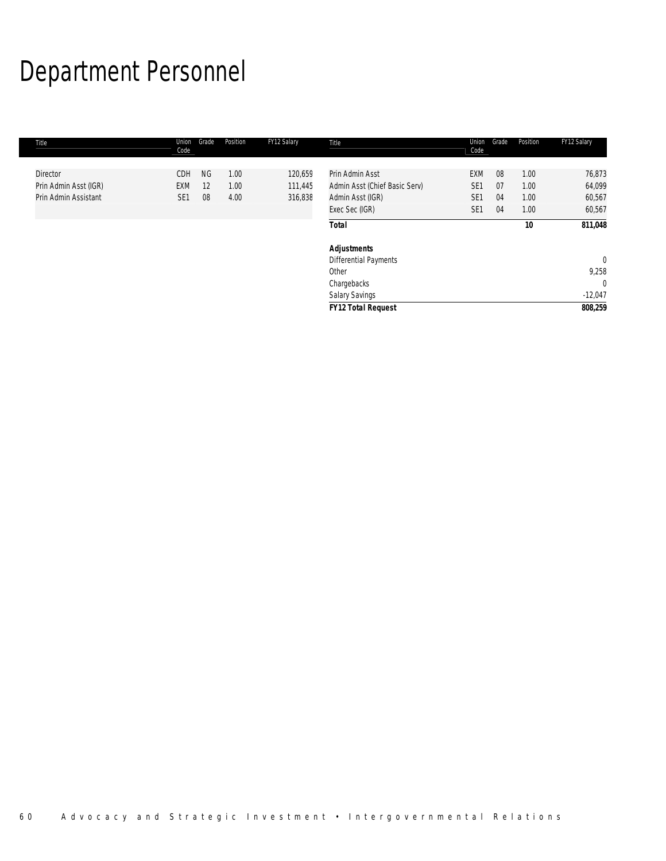## Department Personnel

| <b>Title</b>          | Union<br>Code   | Grade     | Position | FY12 Salary | Title                         | Union<br>Code   | Grade | Position | FY12 Salary    |
|-----------------------|-----------------|-----------|----------|-------------|-------------------------------|-----------------|-------|----------|----------------|
| <b>Director</b>       | <b>CDH</b>      | <b>NG</b> | 1.00     | 120,659     | Prin Admin Asst               | <b>EXM</b>      | 08    | 1.00     | 76,873         |
| Prin Admin Asst (IGR) | <b>EXM</b>      | 12        | 1.00     | 111,445     | Admin Asst (Chief Basic Serv) | SE <sub>1</sub> | 07    | 1.00     | 64,099         |
| Prin Admin Assistant  | SE <sub>1</sub> | 08        | 4.00     | 316,838     | Admin Asst (IGR)              | SE <sub>1</sub> | 04    | 1.00     | 60,567         |
|                       |                 |           |          |             | Exec Sec (IGR)                | SE <sub>1</sub> | 04    | 1.00     | 60,567         |
|                       |                 |           |          |             | <b>Total</b>                  |                 |       | 10       | 811,048        |
|                       |                 |           |          |             | <b>Adjustments</b>            |                 |       |          |                |
|                       |                 |           |          |             | <b>Differential Payments</b>  |                 |       |          | $\overline{0}$ |
|                       |                 |           |          |             | Other                         |                 |       |          | 9,258          |
|                       |                 |           |          |             | Chargebacks                   |                 |       |          | $\Omega$       |
|                       |                 |           |          |             | Salary Savings                |                 |       |          | $-12,047$      |
|                       |                 |           |          |             | <b>FY12 Total Request</b>     |                 |       |          | 808,259        |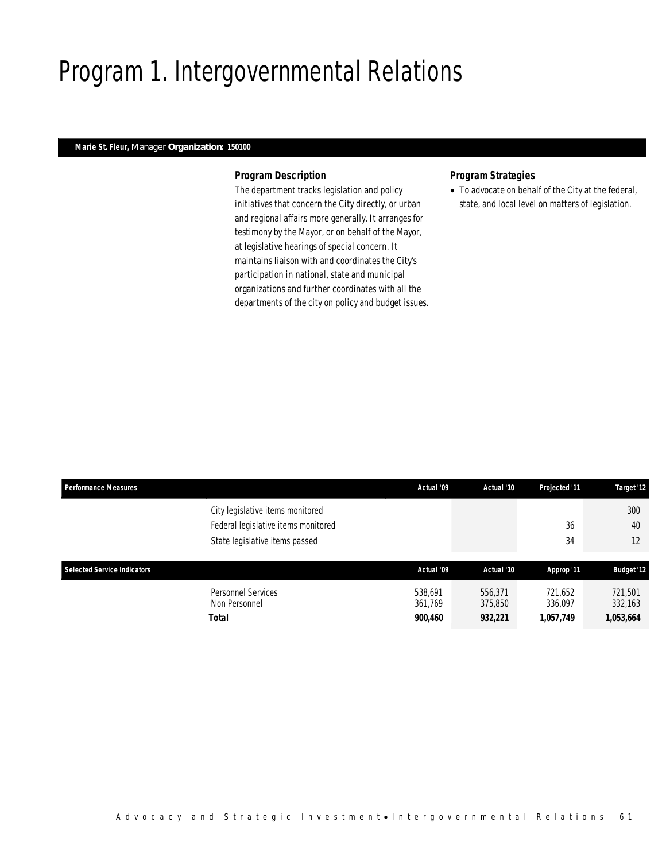## Program 1. Intergovernmental Relations

### *Marie St. Fleur, Manager Organization: 150100*

### *Program Description*

The department tracks legislation and policy initiatives that concern the City directly, or urban and regional affairs more generally. It arranges for testimony by the Mayor, or on behalf of the Mayor, at legislative hearings of special concern. It maintains liaison with and coordinates the City's participation in national, state and municipal organizations and further coordinates with all the departments of the city on policy and budget issues.

### *Program Strategies*

• To advocate on behalf of the City at the federal, state, and local level on matters of legislation.

| <b>Performance Measures</b>        |                                                                         | Actual '09         | Actual '10         | Projected '11      | Target '12         |
|------------------------------------|-------------------------------------------------------------------------|--------------------|--------------------|--------------------|--------------------|
|                                    | City legislative items monitored<br>Federal legislative items monitored |                    |                    | 36                 | 300<br>40          |
|                                    | State legislative items passed                                          |                    |                    | 34                 | 12                 |
| <b>Selected Service Indicators</b> |                                                                         | Actual '09         | Actual '10         | Approp '11         | <b>Budget '12</b>  |
|                                    | Personnel Services<br>Non Personnel                                     | 538.691<br>361,769 | 556,371<br>375,850 | 721,652<br>336,097 | 721,501<br>332,163 |
|                                    | Total                                                                   | 900,460            | 932,221            | 1,057,749          | 1,053,664          |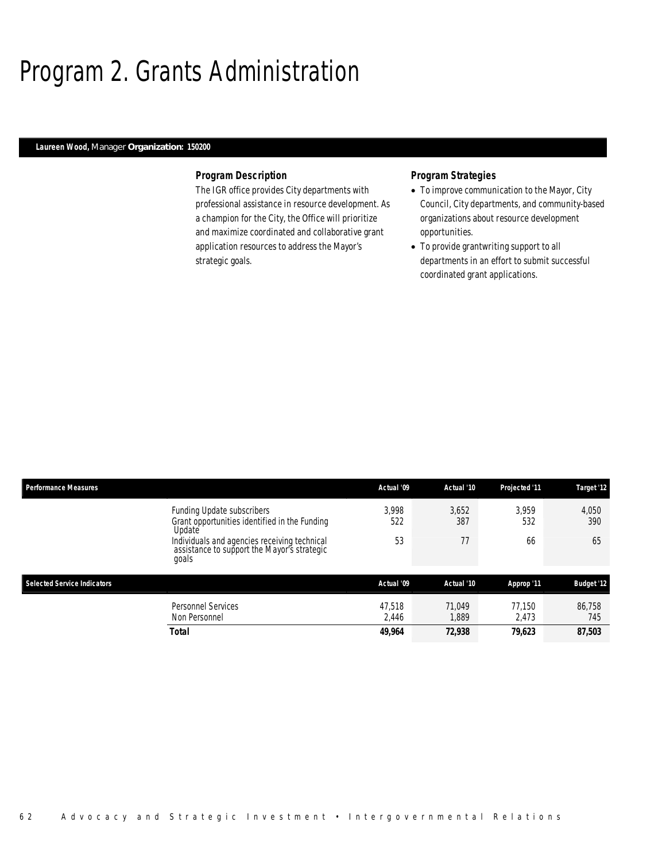## Program 2. Grants Administration

### *Laureen Wood, Manager Organization: 150200*

### *Program Description*

The IGR office provides City departments with professional assistance in resource development. As a champion for the City, the Office will prioritize and maximize coordinated and collaborative grant application resources to address the Mayor's strategic goals.

### *Program Strategies*

- To improve communication to the Mayor, City Council, City departments, and community-based organizations about resource development opportunities.
- To provide grantwriting support to all departments in an effort to submit successful coordinated grant applications.

| <b>Performance Measures</b>                                                                          | Actual '09      | Actual '10      | Projected '11   | Target '12        |
|------------------------------------------------------------------------------------------------------|-----------------|-----------------|-----------------|-------------------|
| Funding Update subscribers<br>Grant opportunities identified in the Funding<br>Update                | 3.998<br>522    | 3,652<br>387    | 3.959<br>532    | 4,050<br>390      |
| Individuals and agencies receiving technical<br>assistance to support the Mayor's strategic<br>goals | 53              | 77              | 66              | 65                |
| <b>Selected Service Indicators</b>                                                                   | Actual '09      | Actual '10      | Approp '11      | <b>Budget '12</b> |
| <b>Personnel Services</b><br>Non Personnel                                                           | 47,518<br>2,446 | 71.049<br>1.889 | 77.150<br>2.473 | 86.758<br>745     |
| <b>Total</b>                                                                                         | 49,964          | 72,938          | 79,623          | 87,503            |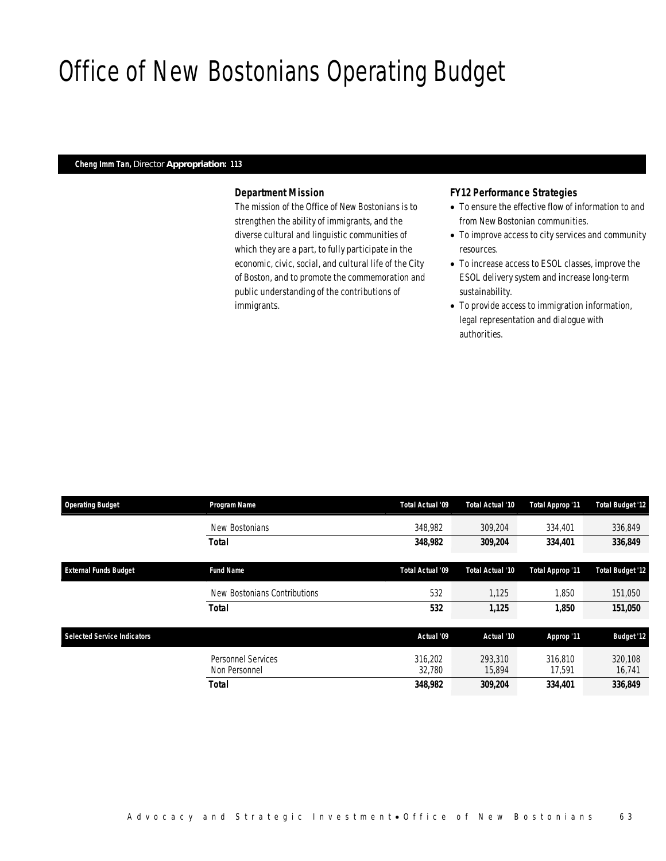## Office of New Bostonians Operating Budget

### *Cheng Imm Tan, Director Appropriation: 113*

### *Department Mission*

The mission of the Office of New Bostonians is to strengthen the ability of immigrants, and the diverse cultural and linguistic communities of which they are a part, to fully participate in the economic, civic, social, and cultural life of the City of Boston, and to promote the commemoration and public understanding of the contributions of immigrants.

### *FY12 Performance Strategies*

- To ensure the effective flow of information to and from New Bostonian communities.
- To improve access to city services and community resources.
- To increase access to ESOL classes, improve the ESOL delivery system and increase long-term sustainability.
- To provide access to immigration information, legal representation and dialogue with authorities.

| <b>Operating Budget</b>            | Program Name                        | Total Actual '09  | Total Actual '10  | <b>Total Approp '11</b> | <b>Total Budget '12</b> |
|------------------------------------|-------------------------------------|-------------------|-------------------|-------------------------|-------------------------|
|                                    | New Bostonians                      | 348,982           | 309,204           | 334,401                 | 336,849                 |
|                                    | <b>Total</b>                        | 348,982           | 309,204           | 334,401                 | 336,849                 |
| <b>External Funds Budget</b>       | <b>Fund Name</b>                    | Total Actual '09  | Total Actual '10  | <b>Total Approp '11</b> | <b>Total Budget '12</b> |
|                                    | New Bostonians Contributions        | 532               | 1,125             | 1,850                   | 151,050                 |
|                                    | <b>Total</b>                        | 532               | 1,125             | 1,850                   | 151,050                 |
| <b>Selected Service Indicators</b> |                                     | Actual '09        | Actual '10        | Approp '11              | <b>Budget '12</b>       |
|                                    | Personnel Services<br>Non Personnel | 316.202<br>32,780 | 293,310<br>15.894 | 316.810<br>17.591       | 320.108<br>16.741       |
|                                    | <b>Total</b>                        | 348,982           | 309.204           | 334,401                 | 336.849                 |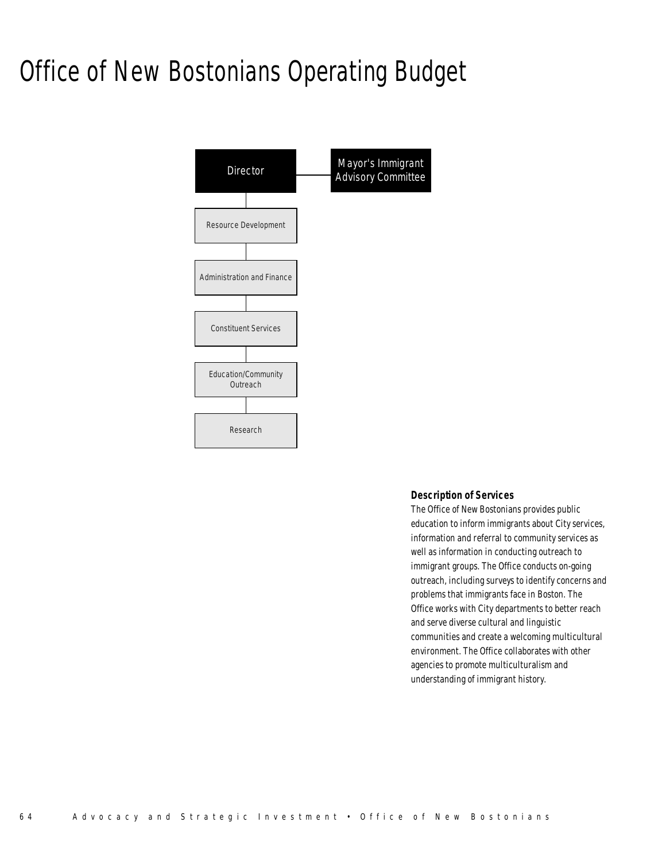## Office of New Bostonians Operating Budget



### *Description of Services*

The Office of New Bostonians provides public education to inform immigrants about City services, information and referral to community services as well as information in conducting outreach to immigrant groups. The Office conducts on-going outreach, including surveys to identify concerns and problems that immigrants face in Boston. The Office works with City departments to better reach and serve diverse cultural and linguistic communities and create a welcoming multicultural environment. The Office collaborates with other agencies to promote multiculturalism and understanding of immigrant history.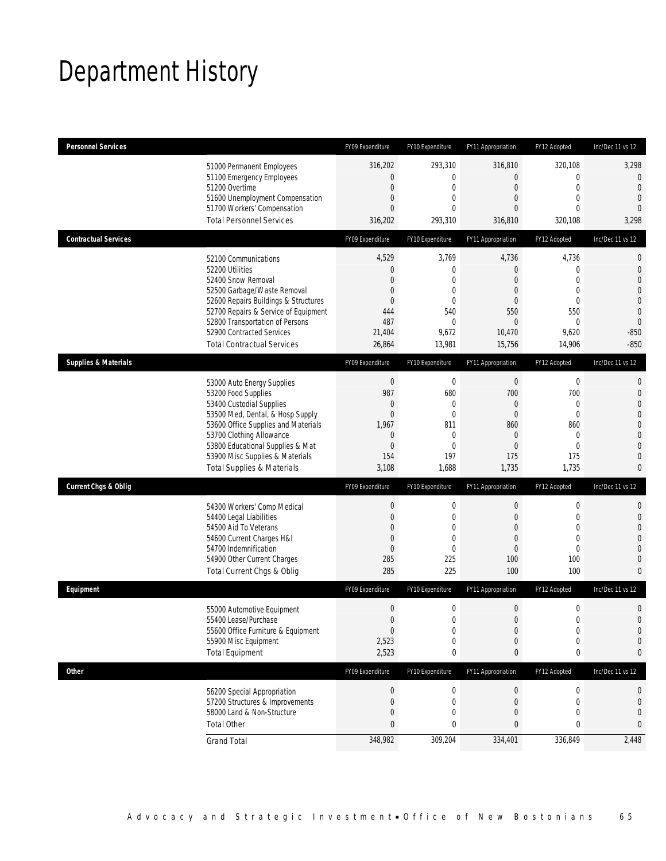## Department History

| <b>Personnel Services</b>       |                                                                                                                                                                                                                                                                                                      | FY09 Expenditure                                                                                   | FY10 Expenditure                                                                                              | FY11 Appropriation                                                                                                 | FY12 Adopted                                                                                                  | Inc/Dec 11 vs 12                                                                                                                                  |
|---------------------------------|------------------------------------------------------------------------------------------------------------------------------------------------------------------------------------------------------------------------------------------------------------------------------------------------------|----------------------------------------------------------------------------------------------------|---------------------------------------------------------------------------------------------------------------|--------------------------------------------------------------------------------------------------------------------|---------------------------------------------------------------------------------------------------------------|---------------------------------------------------------------------------------------------------------------------------------------------------|
|                                 | 51000 Permanent Employees<br>51100 Emergency Employees<br>51200 Overtime<br>51600 Unemployment Compensation<br>51700 Workers' Compensation<br><b>Total Personnel Services</b>                                                                                                                        | 316,202<br>0<br>$\mathbf 0$<br>$\mathbf{0}$<br>$\overline{0}$<br>316,202                           | 293,310<br>$\mathbf 0$<br>$\mathbf 0$<br>$\mathbf 0$<br>$\mathbf{0}$<br>293,310                               | 316,810<br>$\mathbf 0$<br>$\boldsymbol{0}$<br>$\mathbf 0$<br>$\overline{0}$<br>316,810                             | 320,108<br>$\mathbf 0$<br>$\mathbf{0}$<br>$\mathbf{0}$<br>$\mathbf{0}$<br>320,108                             | 3,298<br>$\mathbf 0$<br>$\mathbf{0}$<br>$\mathbf{0}$<br>$\overline{0}$<br>3,298                                                                   |
| <b>Contractual Services</b>     |                                                                                                                                                                                                                                                                                                      | FY09 Expenditure                                                                                   | FY10 Expenditure                                                                                              | FY11 Appropriation                                                                                                 | FY12 Adopted                                                                                                  | Inc/Dec 11 vs 12                                                                                                                                  |
|                                 | 52100 Communications<br>52200 Utilities<br>52400 Snow Removal<br>52500 Garbage/Waste Removal<br>52600 Repairs Buildings & Structures<br>52700 Repairs & Service of Equipment<br>52800 Transportation of Persons<br>52900 Contracted Services<br><b>Total Contractual Services</b>                    | 4,529<br>0<br>$\overline{0}$<br>$\overline{0}$<br>$\overline{0}$<br>444<br>487<br>21,404<br>26,864 | 3,769<br>$\mathbf 0$<br>$\mathbf{0}$<br>$\mathbf{0}$<br>$\mathbf{0}$<br>540<br>$\mathbf 0$<br>9,672<br>13,981 | 4,736<br>$\mathbf 0$<br>$\overline{0}$<br>$\mathbf{0}$<br>$\mathbf 0$<br>550<br>$\overline{0}$<br>10,470<br>15,756 | 4,736<br>$\mathbf 0$<br>$\mathbf{0}$<br>$\mathbf{0}$<br>$\mathbf 0$<br>550<br>$\mathbf{0}$<br>9,620<br>14,906 | 0<br>$\mathbf 0$<br>$\overline{0}$<br>$\mathbf{0}$<br>$\mathbf 0$<br>$\mathbf{0}$<br>$\mathbf 0$<br>$-850$<br>$-850$                              |
| <b>Supplies &amp; Materials</b> |                                                                                                                                                                                                                                                                                                      | FY09 Expenditure                                                                                   | FY10 Expenditure                                                                                              | FY11 Appropriation                                                                                                 | FY12 Adopted                                                                                                  | Inc/Dec 11 vs 12                                                                                                                                  |
|                                 | 53000 Auto Energy Supplies<br>53200 Food Supplies<br>53400 Custodial Supplies<br>53500 Med, Dental, & Hosp Supply<br>53600 Office Supplies and Materials<br>53700 Clothing Allowance<br>53800 Educational Supplies & Mat<br>53900 Misc Supplies & Materials<br><b>Total Supplies &amp; Materials</b> | $\boldsymbol{0}$<br>987<br>0<br>$\overline{0}$<br>1,967<br>0<br>0<br>154<br>3,108                  | $\mathbf 0$<br>680<br>$\mathbf{0}$<br>$\mathbf 0$<br>811<br>$\mathbf 0$<br>$\mathbf 0$<br>197<br>1,688        | $\mathbf 0$<br>700<br>$\mathbf{0}$<br>$\boldsymbol{0}$<br>860<br>$\mathbf 0$<br>$\mathbf{0}$<br>175<br>1,735       | $\mathbf 0$<br>700<br>$\mathbf{0}$<br>$\mathbf{0}$<br>860<br>$\mathbf{0}$<br>$\mathbf{0}$<br>175<br>1,735     | $\mathbf{0}$<br>$\mathbf{0}$<br>$\overline{0}$<br>$\mathbf{0}$<br>$\mathbf 0$<br>$\overline{0}$<br>$\overline{0}$<br>$\mathbf{0}$<br>$\mathbf{0}$ |
| <b>Current Chgs &amp; Oblig</b> |                                                                                                                                                                                                                                                                                                      | FY09 Expenditure                                                                                   | FY10 Expenditure                                                                                              | FY11 Appropriation                                                                                                 | FY12 Adopted                                                                                                  | Inc/Dec 11 vs 12                                                                                                                                  |
|                                 | 54300 Workers' Comp Medical<br>54400 Legal Liabilities<br>54500 Aid To Veterans<br>54600 Current Charges H&I<br>54700 Indemnification<br>54900 Other Current Charges<br>Total Current Chgs & Oblig                                                                                                   | $\boldsymbol{0}$<br>$\mathbf 0$<br>$\overline{0}$<br>$\mathbf{0}$<br>$\overline{0}$<br>285<br>285  | $\boldsymbol{0}$<br>$\mathbf 0$<br>$\mathbf{0}$<br>$\mathbf 0$<br>$\mathbf{0}$<br>225<br>225                  | $\boldsymbol{0}$<br>$\boldsymbol{0}$<br>$\mathbf{0}$<br>$\mathbf{0}$<br>$\mathbf 0$<br>100<br>100                  | $\mathbf 0$<br>$\mathbf{0}$<br>$\mathbf{0}$<br>$\mathbf{0}$<br>$\mathbf{0}$<br>100<br>100                     | $\mathbf 0$<br>$\mathbf 0$<br>$\overline{0}$<br>$\overline{0}$<br>$\mathbf 0$<br>$\mathbf{0}$<br>$\mathbf{0}$                                     |
| Equipment                       |                                                                                                                                                                                                                                                                                                      | FY09 Expenditure                                                                                   | FY10 Expenditure                                                                                              | FY11 Appropriation                                                                                                 | FY12 Adopted                                                                                                  | Inc/Dec 11 vs 12                                                                                                                                  |
|                                 | 55000 Automotive Equipment<br>55400 Lease/Purchase<br>55600 Office Furniture & Equipment<br>55900 Misc Equipment<br><b>Total Equipment</b>                                                                                                                                                           | $\mathbf 0$<br>$\mathbf 0$<br>$\boldsymbol{0}$<br>2,523<br>2,523                                   | $\mathbf 0$<br>$\Omega$<br>$\boldsymbol{0}$<br>0<br>0                                                         | $\mathbf 0$<br>0<br>$\boldsymbol{0}$<br>0<br>0                                                                     | $\mathbf 0$<br>$\Omega$<br>$\boldsymbol{0}$<br>$\mathbf 0$<br>$\boldsymbol{0}$                                | $\mathbf 0$<br>$\Omega$<br>$\mathbf 0$<br>$\mathbf 0$<br>0                                                                                        |
| Other                           |                                                                                                                                                                                                                                                                                                      | FY09 Expenditure                                                                                   | FY10 Expenditure                                                                                              | FY11 Appropriation                                                                                                 | FY12 Adopted                                                                                                  | Inc/Dec 11 vs 12                                                                                                                                  |
|                                 | 56200 Special Appropriation<br>57200 Structures & Improvements<br>58000 Land & Non-Structure<br><b>Total Other</b>                                                                                                                                                                                   | $\boldsymbol{0}$<br>0<br>0<br>0                                                                    | 0<br>$\mathbf 0$<br>$\mathbf 0$<br>0                                                                          | $\pmb{0}$<br>0<br>0<br>$\boldsymbol{0}$                                                                            | $\boldsymbol{0}$<br>$\mathbf 0$<br>$\mathbf 0$<br>0                                                           | 0<br>$\mathbf 0$<br>$\mathbf 0$<br>0                                                                                                              |
|                                 | <b>Grand Total</b>                                                                                                                                                                                                                                                                                   | 348,982                                                                                            | 309,204                                                                                                       | 334,401                                                                                                            | 336,849                                                                                                       | 2,448                                                                                                                                             |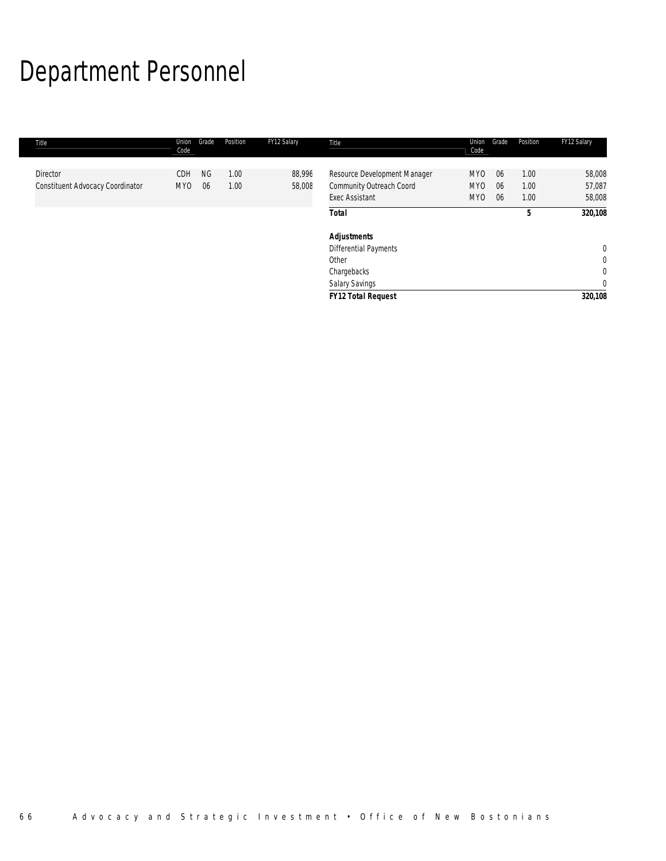# Department Personnel

| Title                                                      | Union<br>Code                 | Grade           | Position     | FY12 Salary      | Title                                                                             | Union<br>Code                                         | Grade          | Position             | FY12 Salary                |
|------------------------------------------------------------|-------------------------------|-----------------|--------------|------------------|-----------------------------------------------------------------------------------|-------------------------------------------------------|----------------|----------------------|----------------------------|
| <b>Director</b><br><b>Constituent Advocacy Coordinator</b> | <b>CDH</b><br>MY <sub>0</sub> | <b>NG</b><br>06 | 1.00<br>1.00 | 88,996<br>58,008 | Resource Development Manager<br>Community Outreach Coord<br><b>Exec Assistant</b> | MY <sub>0</sub><br>MY <sub>0</sub><br>MY <sub>0</sub> | 06<br>06<br>06 | 1.00<br>1.00<br>1.00 | 58,008<br>57,087<br>58,008 |
|                                                            |                               |                 |              |                  | <b>Total</b>                                                                      |                                                       |                | 5                    | 320,108                    |
|                                                            |                               |                 |              |                  | <b>Adjustments</b>                                                                |                                                       |                |                      |                            |
|                                                            |                               |                 |              |                  | <b>Differential Payments</b>                                                      |                                                       |                |                      | $\mathbf{0}$               |
|                                                            |                               |                 |              |                  | Other                                                                             |                                                       |                |                      | $\mathbf 0$                |
|                                                            |                               |                 |              |                  | Chargebacks                                                                       |                                                       |                |                      | $\mathbf 0$                |
|                                                            |                               |                 |              |                  | Salary Savings                                                                    |                                                       |                |                      | $\mathbf 0$                |
|                                                            |                               |                 |              |                  | <b>FY12 Total Request</b>                                                         |                                                       |                |                      | 320,108                    |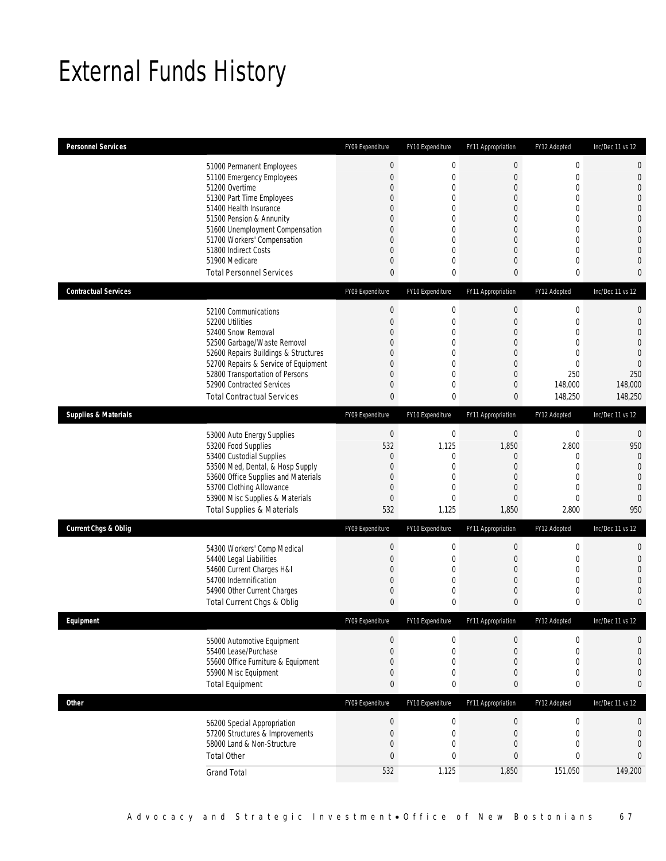## External Funds History

| <b>Personnel Services</b>       |                                                                         | FY09 Expenditure | FY10 Expenditure           | FY11 Appropriation        | FY12 Adopted                 | Inc/Dec 11 vs 12                 |
|---------------------------------|-------------------------------------------------------------------------|------------------|----------------------------|---------------------------|------------------------------|----------------------------------|
|                                 | 51000 Permanent Employees                                               | $\boldsymbol{0}$ | $\pmb{0}$                  | $\mathbf 0$               | $\boldsymbol{0}$             | $\mathbf 0$                      |
|                                 | 51100 Emergency Employees                                               | 0                | $\boldsymbol{0}$           | $\mathbf 0$               | $\mathbf 0$                  | $\mathbf 0$                      |
|                                 | 51200 Overtime                                                          | 0                | 0                          | 0                         | $\mathbf{0}$                 | $\overline{0}$                   |
|                                 | 51300 Part Time Employees                                               | 0                | 0                          | 0                         | $\mathbf 0$                  | $\overline{0}$                   |
|                                 | 51400 Health Insurance<br>51500 Pension & Annunity                      | 0<br>0           | $\mathbf 0$<br>$\mathbf 0$ | 0<br>0                    | $\mathbf{0}$<br>$\mathbf{0}$ | $\mathbf 0$<br>$\mathbf{0}$      |
|                                 | 51600 Unemployment Compensation                                         | 0                | $\mathbf 0$                | $\overline{0}$            | $\overline{0}$               | $\mathbf 0$                      |
|                                 | 51700 Workers' Compensation                                             | 0                | $\Omega$                   | 0                         | $\mathbf{0}$                 | $\overline{0}$                   |
|                                 | 51800 Indirect Costs                                                    | 0                | $\mathbf 0$                | 0                         | $\mathbf 0$                  | $\overline{0}$                   |
|                                 | 51900 Medicare                                                          | 0                | $\mathbf 0$                | 0                         | $\mathbf 0$                  | $\mathbf 0$                      |
|                                 | <b>Total Personnel Services</b>                                         | 0                | 0                          | 0                         | $\mathbf{0}$                 | $\theta$                         |
| <b>Contractual Services</b>     |                                                                         | FY09 Expenditure | FY10 Expenditure           | FY11 Appropriation        | FY12 Adopted                 | Inc/Dec 11 vs 12                 |
|                                 | 52100 Communications                                                    | 0                | $\pmb{0}$                  | 0                         | $\boldsymbol{0}$             | 0                                |
|                                 | 52200 Utilities                                                         | 0                | $\mathbf 0$                | 0                         | $\mathbf{0}$                 | $\mathbf{0}$                     |
|                                 | 52400 Snow Removal<br>52500 Garbage/Waste Removal                       | 0<br>0           | $\mathbf 0$<br>$\mathbf 0$ | 0<br>0                    | $\mathbf{0}$<br>$\mathbf{0}$ | $\mathbf 0$<br>$\mathbf{0}$      |
|                                 | 52600 Repairs Buildings & Structures                                    | 0                | $\mathbf 0$                | $\overline{0}$            | $\mathbf{0}$                 | $\mathbf{0}$                     |
|                                 | 52700 Repairs & Service of Equipment                                    | 0                | 0                          | 0                         | $\mathbf{0}$                 | $\overline{0}$                   |
|                                 | 52800 Transportation of Persons                                         | 0                | $\mathbf 0$                | $\mathbf 0$               | 250                          | 250                              |
|                                 | 52900 Contracted Services                                               | 0                | $\mathbf 0$                | 0                         | 148,000                      | 148,000                          |
|                                 | <b>Total Contractual Services</b>                                       | 0                | 0                          | 0                         | 148,250                      | 148,250                          |
| <b>Supplies &amp; Materials</b> |                                                                         | FY09 Expenditure | FY10 Expenditure           | FY11 Appropriation        | FY12 Adopted                 | Inc/Dec 11 vs 12                 |
|                                 | 53000 Auto Energy Supplies                                              | $\mathbf 0$      | 0                          | $\mathbf 0$               | 0                            | 0                                |
|                                 | 53200 Food Supplies                                                     | 532              | 1,125                      | 1,850                     | 2,800                        | 950                              |
|                                 | 53400 Custodial Supplies                                                | 0                | 0                          | 0                         | $\mathbf 0$                  | $\mathbf{0}$                     |
|                                 | 53500 Med, Dental, & Hosp Supply<br>53600 Office Supplies and Materials | 0<br>0           | 0<br>0                     | 0<br>0                    | $\mathbf 0$<br>$\mathbf{0}$  | $\mathbf{0}$<br>$\mathbf{0}$     |
|                                 | 53700 Clothing Allowance                                                | 0                | 0                          | 0                         | $\mathbf{0}$                 | $\overline{0}$                   |
|                                 | 53900 Misc Supplies & Materials                                         | 0                | $\mathbf 0$                | 0                         | $\mathbf{0}$                 | $\overline{0}$                   |
|                                 | <b>Total Supplies &amp; Materials</b>                                   | 532              | 1,125                      | 1,850                     | 2,800                        | 950                              |
| <b>Current Chgs &amp; Oblig</b> |                                                                         | FY09 Expenditure | FY10 Expenditure           | FY11 Appropriation        | FY12 Adopted                 | Inc/Dec 11 vs 12                 |
|                                 | 54300 Workers' Comp Medical                                             | $\boldsymbol{0}$ | $\boldsymbol{0}$           | $\mathbf 0$               | $\mathbf 0$                  | $\mathbf{0}$                     |
|                                 | 54400 Legal Liabilities                                                 | 0                | 0                          | 0                         | $\mathbf 0$                  | $\overline{0}$                   |
|                                 | 54600 Current Charges H&I                                               | 0                | $\mathbf 0$                | 0                         | $\mathbf 0$                  | $\overline{0}$                   |
|                                 | 54700 Indemnification<br>54900 Other Current Charges                    | 0<br>0           | $\overline{0}$<br>0        | $\overline{0}$<br>0       | $\mathbf{0}$<br>$\mathbf 0$  | $\overline{0}$<br>$\overline{0}$ |
|                                 | Total Current Chgs & Oblig                                              | 0                | 0                          | 0                         | $\boldsymbol{0}$             | $\mathbf{0}$                     |
|                                 |                                                                         |                  |                            | <b>FY11 Appropriation</b> |                              |                                  |
| Equipment                       |                                                                         | FY09 Expenditure | FY10 Expenditure           |                           | FY12 Adopted                 | Inc/Dec 11 vs 12                 |
|                                 | 55000 Automotive Equipment                                              | 0                | 0                          | 0                         | $\mathbf 0$                  | $\mathbf 0$                      |
|                                 | 55400 Lease/Purchase<br>55600 Office Furniture & Equipment              | $\overline{0}$   | $\boldsymbol{0}$           | $\mathbf 0$               | $\mathbf 0$                  | $\mathbf 0$                      |
|                                 | 55900 Misc Equipment                                                    | 0<br>0           | 0<br>0                     | 0<br>0                    | $\mathbf 0$<br>$\mathbf 0$   | $\mathbf 0$<br>$\mathbf 0$       |
|                                 | <b>Total Equipment</b>                                                  | 0                | 0                          | 0                         | $\bf{0}$                     | $\mathbf{0}$                     |
| <b>Other</b>                    |                                                                         | FY09 Expenditure | FY10 Expenditure           | FY11 Appropriation        | FY12 Adopted                 | Inc/Dec 11 vs 12                 |
|                                 |                                                                         | $\boldsymbol{0}$ | $\boldsymbol{0}$           | $\boldsymbol{0}$          | $\boldsymbol{0}$             | $\mathbf 0$                      |
|                                 | 56200 Special Appropriation<br>57200 Structures & Improvements          | 0                | $\boldsymbol{0}$           | $\mathbf 0$               | $\mathbf 0$                  | $\mathbf 0$                      |
|                                 | 58000 Land & Non-Structure                                              | 0                | 0                          | 0                         | $\mathbf 0$                  | $\mathbf 0$                      |
|                                 | <b>Total Other</b>                                                      | 0                | $\bf{0}$                   | 0                         | $\pmb{0}$                    | $\bf{0}$                         |
|                                 | <b>Grand Total</b>                                                      | 532              | 1,125                      | 1,850                     | 151,050                      | 149,200                          |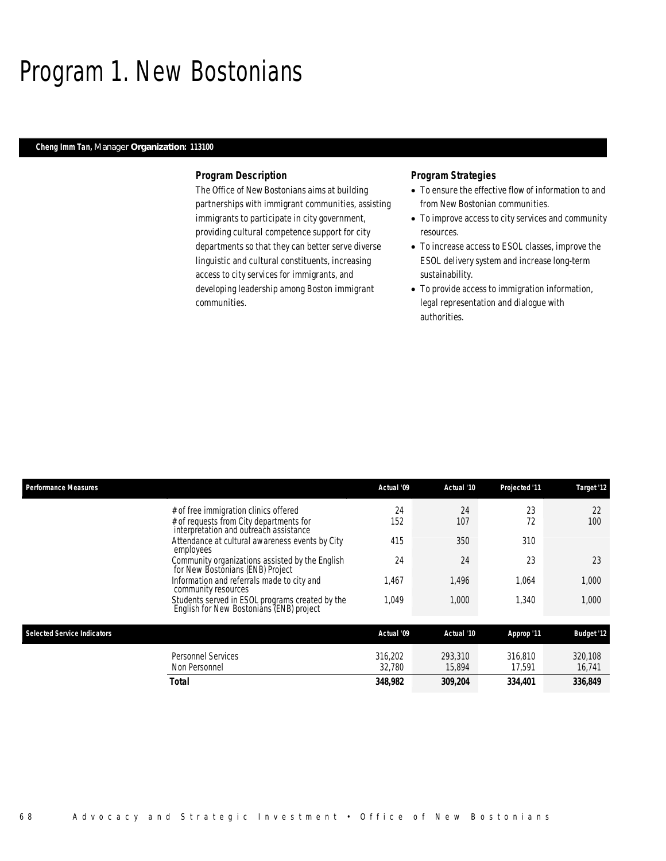### Program 1. New Bostonians

### *Cheng Imm Tan, Manager Organization: 113100*

### *Program Description*

The Office of New Bostonians aims at building partnerships with immigrant communities, assisting immigrants to participate in city government, providing cultural competence support for city departments so that they can better serve diverse linguistic and cultural constituents, increasing access to city services for immigrants, and developing leadership among Boston immigrant communities.

### *Program Strategies*

- To ensure the effective flow of information to and from New Bostonian communities.
- To improve access to city services and community resources.
- To increase access to ESOL classes, improve the ESOL delivery system and increase long-term sustainability.
- To provide access to immigration information, legal representation and dialogue with authorities.

| <b>Performance Measures</b>        |                                                                                             | Actual '09        | Actual '10        | Projected '11     | Target '12        |
|------------------------------------|---------------------------------------------------------------------------------------------|-------------------|-------------------|-------------------|-------------------|
|                                    | # of free immigration clinics offered                                                       | 24                | 24                | 23                | 22                |
|                                    | # of requests from City departments for<br>interpretation and outreach assistance           | 152               | 107               | 72                | 100               |
|                                    | Attendance at cultural awareness events by City<br>employees                                | 415               | 350               | 310               |                   |
|                                    | Community organizations assisted by the English<br>for New Bostonians (ENB) Project         | 24                | 24                | 23                | 23                |
|                                    | Information and referrals made to city and<br>community resources                           | 1,467             | 1,496             | 1.064             | 1,000             |
|                                    | Students served in ESOL programs created by the<br>English for New Bostonians (ENB) project | 1,049             | 1,000             | 1,340             | 1,000             |
| <b>Selected Service Indicators</b> |                                                                                             | Actual '09        | Actual '10        | Approp '11        | <b>Budget '12</b> |
|                                    | <b>Personnel Services</b><br>Non Personnel                                                  | 316,202<br>32,780 | 293,310<br>15,894 | 316.810<br>17.591 | 320.108<br>16,741 |
|                                    | Total                                                                                       | 348,982           | 309,204           | 334,401           | 336,849           |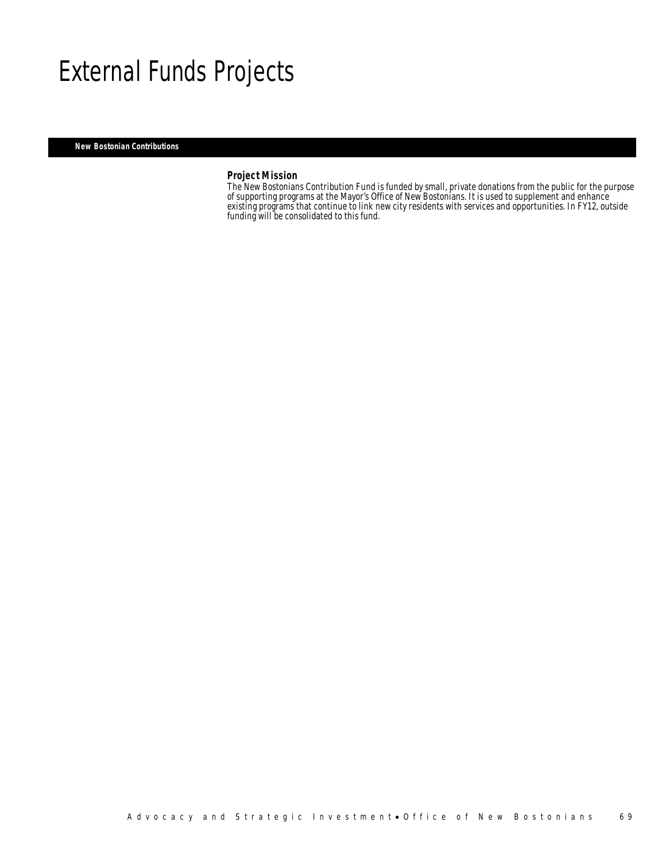### External Funds Projects

*New Bostonian Contributions* 

### *Project Mission*

The New Bostonians Contribution Fund is funded by small, private donations from the public for the purpose of supporting programs at the Mayor's Office of New Bostonians. It is used to supplement and enhance existing programs that continue to link new city residents with services and opportunities. In FY12, outside funding will be consolidated to this fund.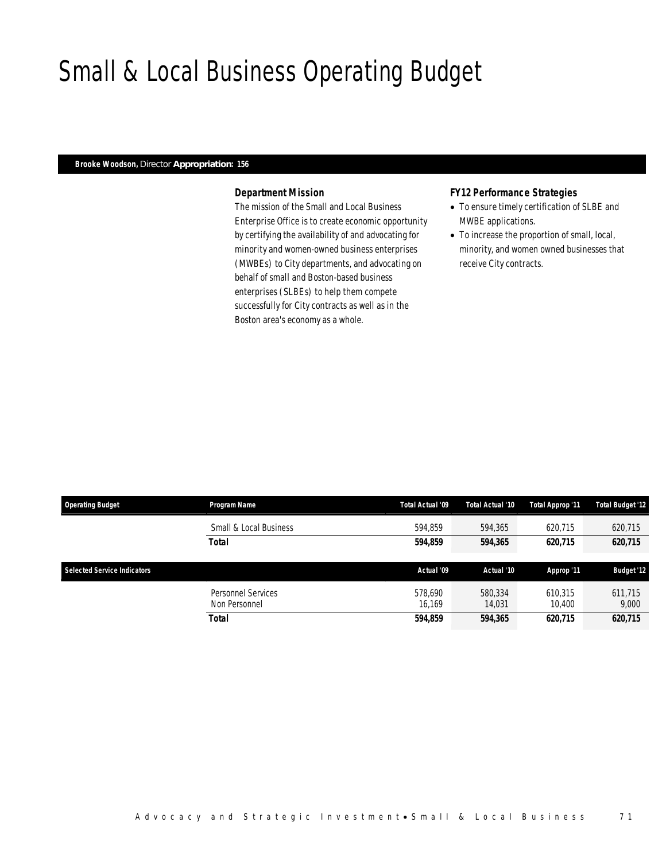## Small & Local Business Operating Budget

### *Brooke Woodson, Director Appropriation: 156*

### *Department Mission*

The mission of the Small and Local Business Enterprise Office is to create economic opportunity by certifying the availability of and advocating for minority and women-owned business enterprises (MWBEs) to City departments, and advocating on behalf of small and Boston-based business enterprises (SLBEs) to help them compete successfully for City contracts as well as in the Boston area's economy as a whole.

### *FY12 Performance Strategies*

- To ensure timely certification of SLBE and MWBE applications.
- To increase the proportion of small, local, minority, and women owned businesses that receive City contracts.

| <b>Operating Budget</b>     | <b>Program Name</b>                 | Total Actual '09  | Total Actual '10  | Total Approp '11  | <b>Total Budget '12</b> |
|-----------------------------|-------------------------------------|-------------------|-------------------|-------------------|-------------------------|
|                             | Small & Local Business              | 594.859           | 594,365           | 620.715           | 620,715                 |
|                             | Total                               | 594.859           | 594,365           | 620.715           | 620,715                 |
| Selected Service Indicators |                                     | Actual '09        | Actual '10        | Approp '11        | <b>Budget '12</b>       |
|                             | Personnel Services<br>Non Personnel | 578.690<br>16.169 | 580,334<br>14,031 | 610,315<br>10.400 | 611.715<br>9,000        |
|                             | Total                               | 594,859           | 594,365           | 620,715           | 620,715                 |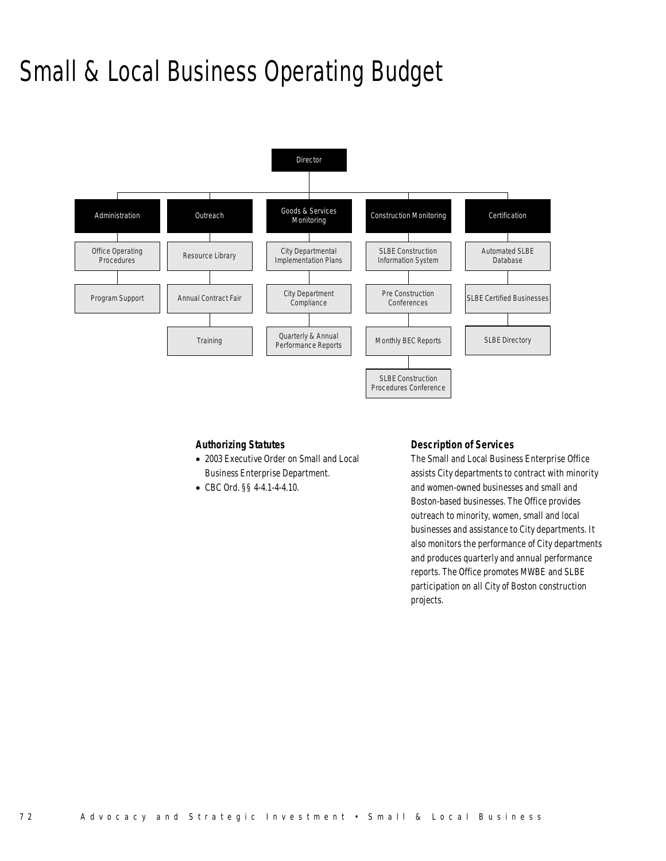# Small & Local Business Operating Budget



### *Authorizing Statutes*

- 2003 Executive Order on Small and Local Business Enterprise Department.
- CBC Ord. §§ 4-4.1-4-4.10.

### *Description of Services*

The Small and Local Business Enterprise Office assists City departments to contract with minority and women-owned businesses and small and Boston-based businesses. The Office provides outreach to minority, women, small and local businesses and assistance to City departments. It also monitors the performance of City departments and produces quarterly and annual performance reports. The Office promotes MWBE and SLBE participation on all City of Boston construction projects.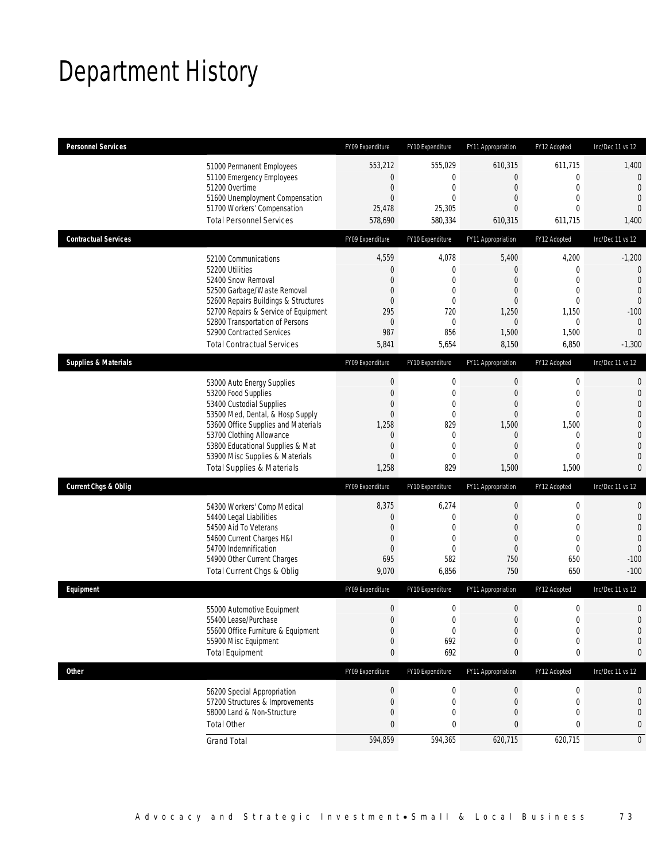## Department History

| <b>Personnel Services</b>       |                                       | FY09 Expenditure | FY10 Expenditure | FY11 Appropriation | FY12 Adopted     | Inc/Dec 11 vs 12 |
|---------------------------------|---------------------------------------|------------------|------------------|--------------------|------------------|------------------|
|                                 | 51000 Permanent Employees             | 553,212          | 555,029          | 610,315            | 611,715          | 1,400            |
|                                 | 51100 Emergency Employees             | 0                | $\mathbf 0$      | $\mathbf 0$        | $\mathbf 0$      | $\mathbf 0$      |
|                                 | 51200 Overtime                        | $\mathbf 0$      | $\mathbf 0$      | $\boldsymbol{0}$   | $\mathbf{0}$     | $\overline{0}$   |
|                                 | 51600 Unemployment Compensation       | $\overline{0}$   | $\theta$         | $\mathbf{0}$       | $\mathbf{0}$     | $\overline{0}$   |
|                                 | 51700 Workers' Compensation           | 25,478           | 25,305           | $\overline{0}$     | $\mathbf{0}$     | $\overline{0}$   |
|                                 | <b>Total Personnel Services</b>       | 578,690          | 580,334          | 610,315            | 611,715          | 1,400            |
| <b>Contractual Services</b>     |                                       | FY09 Expenditure | FY10 Expenditure | FY11 Appropriation | FY12 Adopted     | Inc/Dec 11 vs 12 |
|                                 | 52100 Communications                  | 4,559            | 4,078            | 5,400              | 4,200            | $-1,200$         |
|                                 | 52200 Utilities                       | 0                | $\mathbf 0$      | $\mathbf 0$        | $\mathbf 0$      | $\mathbf 0$      |
|                                 | 52400 Snow Removal                    | $\overline{0}$   | $\mathbf{0}$     | $\overline{0}$     | $\mathbf{0}$     | $\overline{0}$   |
|                                 | 52500 Garbage/Waste Removal           | $\mathbf{0}$     | $\mathbf{0}$     | $\mathbf{0}$       | $\mathbf 0$      | $\overline{0}$   |
|                                 | 52600 Repairs Buildings & Structures  | $\mathbf{0}$     | $\mathbf 0$      | $\mathbf 0$        | $\mathbf{0}$     | $\mathbf 0$      |
|                                 | 52700 Repairs & Service of Equipment  | 295              | 720              | 1,250              | 1,150            | $-100$           |
|                                 | 52800 Transportation of Persons       | 0                | $\mathbf 0$      | 0                  | $\mathbf{0}$     | $\mathbf 0$      |
|                                 | 52900 Contracted Services             | 987              | 856              | 1,500              | 1,500            | $\overline{0}$   |
|                                 | <b>Total Contractual Services</b>     | 5,841            | 5,654            | 8,150              | 6,850            | $-1,300$         |
| <b>Supplies &amp; Materials</b> |                                       | FY09 Expenditure | FY10 Expenditure | FY11 Appropriation | FY12 Adopted     | Inc/Dec 11 vs 12 |
|                                 | 53000 Auto Energy Supplies            | $\boldsymbol{0}$ | $\boldsymbol{0}$ | $\boldsymbol{0}$   | $\mathbf 0$      | $\mathbf{0}$     |
|                                 | 53200 Food Supplies                   | $\overline{0}$   | $\mathbf 0$      | $\boldsymbol{0}$   | $\mathbf{0}$     | $\mathbf{0}$     |
|                                 | 53400 Custodial Supplies              | $\mathbf{0}$     | $\mathbf 0$      | $\mathbf{0}$       | $\mathbf{0}$     | $\overline{0}$   |
|                                 | 53500 Med, Dental, & Hosp Supply      | $\overline{0}$   | $\mathbf{0}$     | $\boldsymbol{0}$   | $\mathbf{0}$     | $\mathbf{0}$     |
|                                 | 53600 Office Supplies and Materials   | 1,258            | 829              | 1,500              | 1,500            | $\mathbf 0$      |
|                                 | 53700 Clothing Allowance              | 0                | $\mathbf 0$      | 0                  | $\mathbf 0$      | $\overline{0}$   |
|                                 | 53800 Educational Supplies & Mat      | 0                | $\mathbf{0}$     | $\mathbf{0}$       | $\mathbf{0}$     | $\overline{0}$   |
|                                 | 53900 Misc Supplies & Materials       | $\overline{0}$   | $\mathbf{0}$     | $\overline{0}$     | $\mathbf{0}$     | $\overline{0}$   |
|                                 | <b>Total Supplies &amp; Materials</b> | 1,258            | 829              | 1,500              | 1,500            | $\mathbf{0}$     |
| <b>Current Chgs &amp; Oblig</b> |                                       | FY09 Expenditure | FY10 Expenditure | FY11 Appropriation | FY12 Adopted     | Inc/Dec 11 vs 12 |
|                                 | 54300 Workers' Comp Medical           | 8,375            | 6,274            | $\boldsymbol{0}$   | $\mathbf 0$      | $\mathbf 0$      |
|                                 | 54400 Legal Liabilities               | 0                | $\mathbf 0$      | $\boldsymbol{0}$   | $\mathbf{0}$     | $\mathbf 0$      |
|                                 | 54500 Aid To Veterans                 | $\mathbf{0}$     | $\mathbf{0}$     | $\mathbf{0}$       | $\mathbf{0}$     | $\overline{0}$   |
|                                 | 54600 Current Charges H&I             | 0                | $\mathbf 0$      | $\mathbf{0}$       | $\mathbf 0$      | $\mathbf{0}$     |
|                                 | 54700 Indemnification                 | $\mathbf{0}$     | $\mathbf{0}$     | $\mathbf{0}$       | $\mathbf{0}$     | $\mathbf 0$      |
|                                 | 54900 Other Current Charges           | 695              | 582              | 750                | 650              | $-100$           |
|                                 | Total Current Chgs & Oblig            | 9,070            | 6,856            | 750                | 650              | $-100$           |
| Equipment                       |                                       | FY09 Expenditure | FY10 Expenditure | FY11 Appropriation | FY12 Adopted     | Inc/Dec 11 vs 12 |
|                                 | 55000 Automotive Equipment            | $\mathbf 0$      | $\mathbf 0$      | $\mathbf 0$        | $\mathbf 0$      | $\mathbf 0$      |
|                                 | 55400 Lease/Purchase                  | $\Omega$         | $\Omega$         | 0                  | $\Omega$         | $\Omega$         |
|                                 | 55600 Office Furniture & Equipment    | $\boldsymbol{0}$ | $\boldsymbol{0}$ | $\boldsymbol{0}$   | $\boldsymbol{0}$ | $\mathbf 0$      |
|                                 | 55900 Misc Equipment                  | $\mathbf 0$      | 692              | 0                  | $\mathbf 0$      | $\mathbf 0$      |
|                                 | <b>Total Equipment</b>                | $\mathbf{0}$     | 692              | 0                  | $\boldsymbol{0}$ | 0                |
| Other                           |                                       | FY09 Expenditure | FY10 Expenditure | FY11 Appropriation | FY12 Adopted     | Inc/Dec 11 vs 12 |
|                                 | 56200 Special Appropriation           | $\boldsymbol{0}$ | 0                | $\pmb{0}$          | $\boldsymbol{0}$ | 0                |
|                                 | 57200 Structures & Improvements       | 0                | $\mathbf 0$      | 0                  | $\mathbf 0$      | $\mathbf 0$      |
|                                 | 58000 Land & Non-Structure            | 0                | $\mathbf 0$      | 0                  | $\mathbf 0$      | $\mathbf 0$      |
|                                 | <b>Total Other</b>                    | 0                | 0                | $\boldsymbol{0}$   | 0                | 0                |
|                                 | <b>Grand Total</b>                    | 594,859          | 594,365          | 620,715            | 620,715          | $\mathbf 0$      |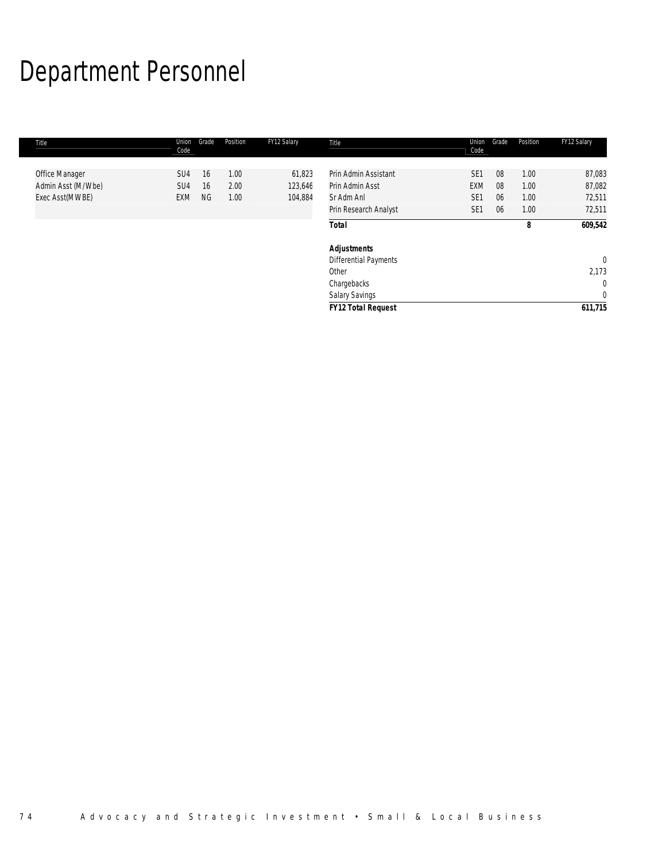# Department Personnel

| Title              | Union<br>Code   | Grade     | Position | FY12 Salary | Title                     | Union<br>Code   | Grade | Position | FY12 Salary  |
|--------------------|-----------------|-----------|----------|-------------|---------------------------|-----------------|-------|----------|--------------|
|                    | SU <sub>4</sub> | 16        | 1.00     | 61,823      | Prin Admin Assistant      | SE <sub>1</sub> | 08    | 1.00     | 87,083       |
| Office Manager     |                 |           |          |             |                           |                 |       |          |              |
| Admin Asst (M/Wbe) | SU <sub>4</sub> | 16        | 2.00     | 123,646     | Prin Admin Asst           | <b>EXM</b>      | 08    | 1.00     | 87,082       |
| Exec Asst(MWBE)    | <b>EXM</b>      | <b>NG</b> | 1.00     | 104,884     | Sr Adm Anl                | SE <sub>1</sub> | 06    | 1.00     | 72,511       |
|                    |                 |           |          |             | Prin Research Analyst     | SE <sub>1</sub> | 06    | 1.00     | 72,511       |
|                    |                 |           |          |             | <b>Total</b>              |                 |       | 8        | 609,542      |
|                    |                 |           |          |             | <b>Adjustments</b>        |                 |       |          |              |
|                    |                 |           |          |             | Differential Payments     |                 |       |          | $\mathbf{0}$ |
|                    |                 |           |          |             | Other                     |                 |       |          | 2,173        |
|                    |                 |           |          |             | Chargebacks               |                 |       |          | $\mathbf 0$  |
|                    |                 |           |          |             | Salary Savings            |                 |       |          | $\mathbf 0$  |
|                    |                 |           |          |             | <b>FY12 Total Request</b> |                 |       |          | 611,715      |